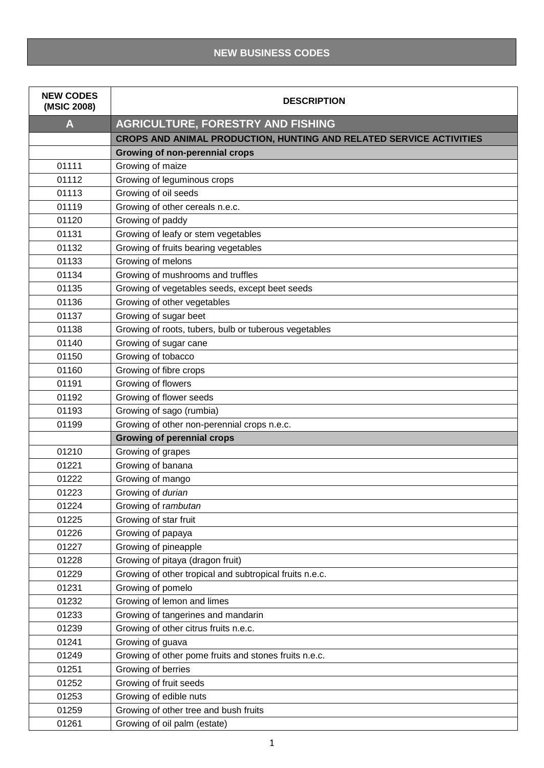## **NEW BUSINESS CODES**

| <b>NEW CODES</b><br>(MSIC 2008) | <b>DESCRIPTION</b>                                                  |
|---------------------------------|---------------------------------------------------------------------|
| A                               | <b>AGRICULTURE, FORESTRY AND FISHING</b>                            |
|                                 | CROPS AND ANIMAL PRODUCTION, HUNTING AND RELATED SERVICE ACTIVITIES |
|                                 | Growing of non-perennial crops                                      |
| 01111                           | Growing of maize                                                    |
| 01112                           | Growing of leguminous crops                                         |
| 01113                           | Growing of oil seeds                                                |
| 01119                           | Growing of other cereals n.e.c.                                     |
| 01120                           | Growing of paddy                                                    |
| 01131                           | Growing of leafy or stem vegetables                                 |
| 01132                           | Growing of fruits bearing vegetables                                |
| 01133                           | Growing of melons                                                   |
| 01134                           | Growing of mushrooms and truffles                                   |
| 01135                           | Growing of vegetables seeds, except beet seeds                      |
| 01136                           | Growing of other vegetables                                         |
| 01137                           | Growing of sugar beet                                               |
| 01138                           | Growing of roots, tubers, bulb or tuberous vegetables               |
| 01140                           | Growing of sugar cane                                               |
| 01150                           | Growing of tobacco                                                  |
| 01160                           | Growing of fibre crops                                              |
| 01191                           | Growing of flowers                                                  |
| 01192                           | Growing of flower seeds                                             |
| 01193                           | Growing of sago (rumbia)                                            |
| 01199                           | Growing of other non-perennial crops n.e.c.                         |
|                                 | <b>Growing of perennial crops</b>                                   |
| 01210                           | Growing of grapes                                                   |
| 01221                           | Growing of banana                                                   |
| 01222                           | Growing of mango                                                    |
| 01223                           | Growing of durian                                                   |
| 01224                           | Growing of rambutan                                                 |
| 01225                           | Growing of star fruit                                               |
| 01226                           | Growing of papaya                                                   |
| 01227                           | Growing of pineapple                                                |
| 01228                           | Growing of pitaya (dragon fruit)                                    |
| 01229                           | Growing of other tropical and subtropical fruits n.e.c.             |
| 01231                           | Growing of pomelo                                                   |
| 01232                           | Growing of lemon and limes                                          |
| 01233                           | Growing of tangerines and mandarin                                  |
| 01239                           | Growing of other citrus fruits n.e.c.                               |
| 01241                           | Growing of guava                                                    |
| 01249                           | Growing of other pome fruits and stones fruits n.e.c.               |
| 01251                           | Growing of berries                                                  |
| 01252                           | Growing of fruit seeds                                              |
| 01253                           | Growing of edible nuts                                              |
| 01259                           | Growing of other tree and bush fruits                               |
| 01261                           | Growing of oil palm (estate)                                        |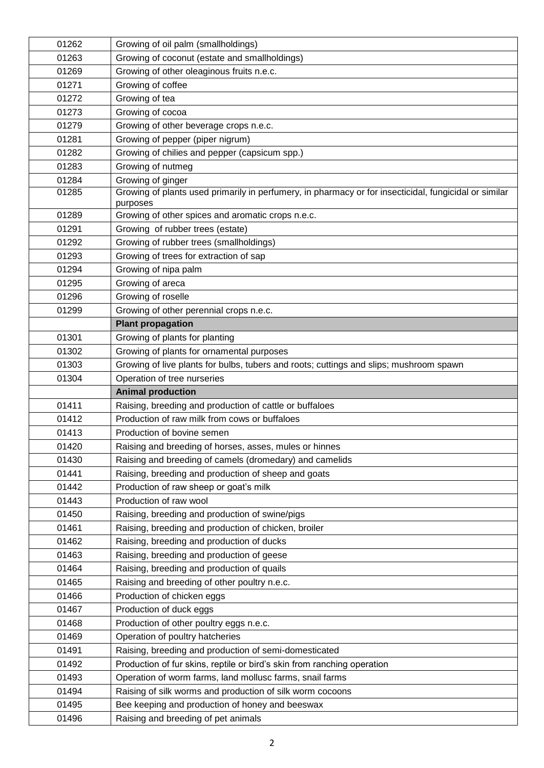| 01262 | Growing of oil palm (smallholdings)                                                                   |
|-------|-------------------------------------------------------------------------------------------------------|
| 01263 | Growing of coconut (estate and smallholdings)                                                         |
| 01269 | Growing of other oleaginous fruits n.e.c.                                                             |
| 01271 | Growing of coffee                                                                                     |
| 01272 | Growing of tea                                                                                        |
| 01273 | Growing of cocoa                                                                                      |
| 01279 | Growing of other beverage crops n.e.c.                                                                |
| 01281 | Growing of pepper (piper nigrum)                                                                      |
| 01282 | Growing of chilies and pepper (capsicum spp.)                                                         |
| 01283 | Growing of nutmeg                                                                                     |
| 01284 | Growing of ginger                                                                                     |
| 01285 | Growing of plants used primarily in perfumery, in pharmacy or for insecticidal, fungicidal or similar |
|       | purposes                                                                                              |
| 01289 | Growing of other spices and aromatic crops n.e.c.                                                     |
| 01291 | Growing of rubber trees (estate)                                                                      |
| 01292 | Growing of rubber trees (smallholdings)                                                               |
| 01293 | Growing of trees for extraction of sap                                                                |
| 01294 | Growing of nipa palm                                                                                  |
| 01295 | Growing of areca                                                                                      |
| 01296 | Growing of roselle                                                                                    |
| 01299 | Growing of other perennial crops n.e.c.                                                               |
|       | <b>Plant propagation</b>                                                                              |
| 01301 | Growing of plants for planting                                                                        |
| 01302 | Growing of plants for ornamental purposes                                                             |
| 01303 | Growing of live plants for bulbs, tubers and roots; cuttings and slips; mushroom spawn                |
| 01304 | Operation of tree nurseries                                                                           |
|       |                                                                                                       |
|       | <b>Animal production</b>                                                                              |
| 01411 | Raising, breeding and production of cattle or buffaloes                                               |
| 01412 | Production of raw milk from cows or buffaloes                                                         |
| 01413 | Production of bovine semen                                                                            |
| 01420 | Raising and breeding of horses, asses, mules or hinnes                                                |
| 01430 | Raising and breeding of camels (dromedary) and camelids                                               |
| 01441 | Raising, breeding and production of sheep and goats                                                   |
| 01442 | Production of raw sheep or goat's milk                                                                |
| 01443 | Production of raw wool                                                                                |
| 01450 | Raising, breeding and production of swine/pigs                                                        |
| 01461 | Raising, breeding and production of chicken, broiler                                                  |
| 01462 | Raising, breeding and production of ducks                                                             |
| 01463 | Raising, breeding and production of geese                                                             |
| 01464 | Raising, breeding and production of quails                                                            |
| 01465 |                                                                                                       |
| 01466 | Raising and breeding of other poultry n.e.c.                                                          |
| 01467 | Production of chicken eggs                                                                            |
| 01468 | Production of duck eggs                                                                               |
| 01469 | Production of other poultry eggs n.e.c.                                                               |
| 01491 | Operation of poultry hatcheries<br>Raising, breeding and production of semi-domesticated              |
| 01492 | Production of fur skins, reptile or bird's skin from ranching operation                               |
| 01493 | Operation of worm farms, land mollusc farms, snail farms                                              |
| 01494 | Raising of silk worms and production of silk worm cocoons                                             |
| 01495 | Bee keeping and production of honey and beeswax                                                       |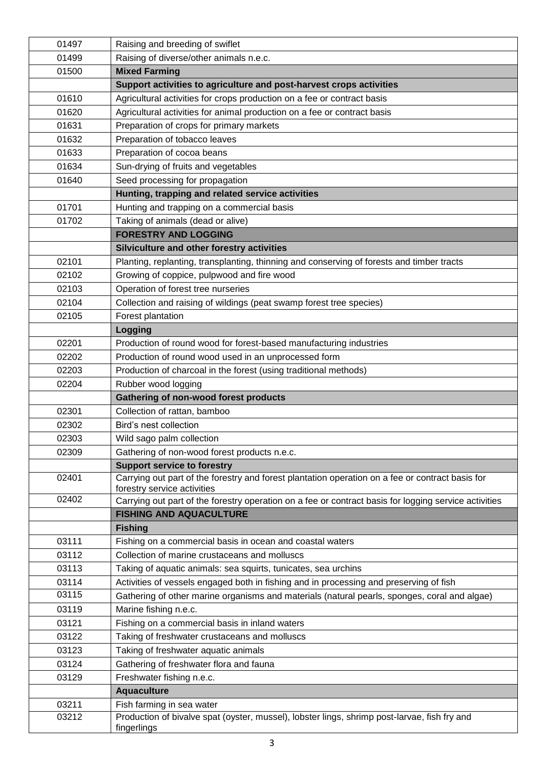| 01497 | Raising and breeding of swiflet                                                                                                 |
|-------|---------------------------------------------------------------------------------------------------------------------------------|
| 01499 | Raising of diverse/other animals n.e.c.                                                                                         |
| 01500 | <b>Mixed Farming</b>                                                                                                            |
|       | Support activities to agriculture and post-harvest crops activities                                                             |
| 01610 | Agricultural activities for crops production on a fee or contract basis                                                         |
| 01620 | Agricultural activities for animal production on a fee or contract basis                                                        |
| 01631 | Preparation of crops for primary markets                                                                                        |
| 01632 | Preparation of tobacco leaves                                                                                                   |
| 01633 | Preparation of cocoa beans                                                                                                      |
| 01634 | Sun-drying of fruits and vegetables                                                                                             |
| 01640 | Seed processing for propagation                                                                                                 |
|       | Hunting, trapping and related service activities                                                                                |
| 01701 | Hunting and trapping on a commercial basis                                                                                      |
| 01702 | Taking of animals (dead or alive)                                                                                               |
|       | <b>FORESTRY AND LOGGING</b>                                                                                                     |
|       | Silviculture and other forestry activities                                                                                      |
| 02101 | Planting, replanting, transplanting, thinning and conserving of forests and timber tracts                                       |
| 02102 | Growing of coppice, pulpwood and fire wood                                                                                      |
| 02103 | Operation of forest tree nurseries                                                                                              |
| 02104 | Collection and raising of wildings (peat swamp forest tree species)                                                             |
| 02105 | Forest plantation                                                                                                               |
|       | Logging                                                                                                                         |
| 02201 | Production of round wood for forest-based manufacturing industries                                                              |
| 02202 | Production of round wood used in an unprocessed form                                                                            |
| 02203 | Production of charcoal in the forest (using traditional methods)                                                                |
| 02204 | Rubber wood logging                                                                                                             |
|       | Gathering of non-wood forest products                                                                                           |
| 02301 | Collection of rattan, bamboo                                                                                                    |
| 02302 | Bird's nest collection                                                                                                          |
| 02303 | Wild sago palm collection                                                                                                       |
| 02309 | Gathering of non-wood forest products n.e.c.                                                                                    |
|       | <b>Support service to forestry</b>                                                                                              |
| 02401 | Carrying out part of the forestry and forest plantation operation on a fee or contract basis for<br>forestry service activities |
| 02402 | Carrying out part of the forestry operation on a fee or contract basis for logging service activities                           |
|       | <b>FISHING AND AQUACULTURE</b>                                                                                                  |
|       | <b>Fishing</b>                                                                                                                  |
| 03111 | Fishing on a commercial basis in ocean and coastal waters                                                                       |
| 03112 | Collection of marine crustaceans and molluscs                                                                                   |
| 03113 | Taking of aquatic animals: sea squirts, tunicates, sea urchins                                                                  |
| 03114 | Activities of vessels engaged both in fishing and in processing and preserving of fish                                          |
| 03115 | Gathering of other marine organisms and materials (natural pearls, sponges, coral and algae)                                    |
| 03119 | Marine fishing n.e.c.                                                                                                           |
| 03121 | Fishing on a commercial basis in inland waters                                                                                  |
| 03122 | Taking of freshwater crustaceans and molluscs                                                                                   |
| 03123 | Taking of freshwater aquatic animals                                                                                            |
| 03124 | Gathering of freshwater flora and fauna                                                                                         |
| 03129 | Freshwater fishing n.e.c.                                                                                                       |
|       | <b>Aquaculture</b>                                                                                                              |
| 03211 | Fish farming in sea water                                                                                                       |
| 03212 | Production of bivalve spat (oyster, mussel), lobster lings, shrimp post-larvae, fish fry and                                    |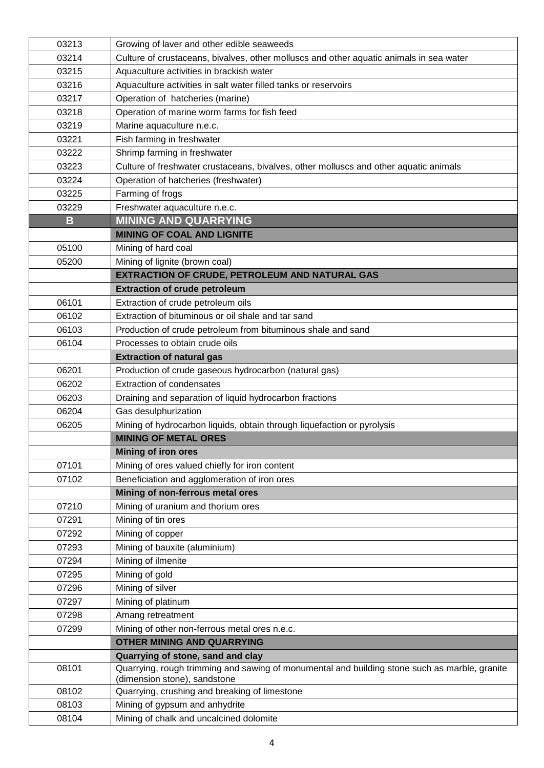| 03213 | Growing of laver and other edible seaweeds                                                    |
|-------|-----------------------------------------------------------------------------------------------|
| 03214 | Culture of crustaceans, bivalves, other molluscs and other aquatic animals in sea water       |
| 03215 | Aquaculture activities in brackish water                                                      |
| 03216 | Aquaculture activities in salt water filled tanks or reservoirs                               |
| 03217 | Operation of hatcheries (marine)                                                              |
| 03218 | Operation of marine worm farms for fish feed                                                  |
| 03219 | Marine aquaculture n.e.c.                                                                     |
| 03221 | Fish farming in freshwater                                                                    |
| 03222 | Shrimp farming in freshwater                                                                  |
| 03223 | Culture of freshwater crustaceans, bivalves, other molluscs and other aquatic animals         |
| 03224 | Operation of hatcheries (freshwater)                                                          |
| 03225 | Farming of frogs                                                                              |
| 03229 | Freshwater aquaculture n.e.c.                                                                 |
| B     | <b>MINING AND QUARRYING</b>                                                                   |
|       | <b>MINING OF COAL AND LIGNITE</b>                                                             |
| 05100 | Mining of hard coal                                                                           |
| 05200 | Mining of lignite (brown coal)                                                                |
|       | EXTRACTION OF CRUDE, PETROLEUM AND NATURAL GAS                                                |
|       | <b>Extraction of crude petroleum</b>                                                          |
| 06101 | Extraction of crude petroleum oils                                                            |
| 06102 | Extraction of bituminous or oil shale and tar sand                                            |
| 06103 | Production of crude petroleum from bituminous shale and sand                                  |
| 06104 | Processes to obtain crude oils                                                                |
|       | <b>Extraction of natural gas</b>                                                              |
| 06201 | Production of crude gaseous hydrocarbon (natural gas)                                         |
| 06202 | <b>Extraction of condensates</b>                                                              |
| 06203 | Draining and separation of liquid hydrocarbon fractions                                       |
| 06204 | Gas desulphurization                                                                          |
| 06205 | Mining of hydrocarbon liquids, obtain through liquefaction or pyrolysis                       |
|       | <b>MINING OF METAL ORES</b>                                                                   |
|       | <b>Mining of iron ores</b>                                                                    |
| 07101 | Mining of ores valued chiefly for iron content                                                |
| 07102 | Beneficiation and agglomeration of iron ores                                                  |
|       | Mining of non-ferrous metal ores                                                              |
| 07210 | Mining of uranium and thorium ores                                                            |
| 07291 | Mining of tin ores                                                                            |
| 07292 | Mining of copper                                                                              |
| 07293 | Mining of bauxite (aluminium)                                                                 |
| 07294 | Mining of ilmenite                                                                            |
| 07295 | Mining of gold                                                                                |
| 07296 | Mining of silver                                                                              |
| 07297 | Mining of platinum                                                                            |
| 07298 | Amang retreatment                                                                             |
| 07299 | Mining of other non-ferrous metal ores n.e.c.                                                 |
|       | <b>OTHER MINING AND QUARRYING</b>                                                             |
|       | Quarrying of stone, sand and clay                                                             |
| 08101 | Quarrying, rough trimming and sawing of monumental and building stone such as marble, granite |
| 08102 | (dimension stone), sandstone<br>Quarrying, crushing and breaking of limestone                 |
| 08103 | Mining of gypsum and anhydrite                                                                |
| 08104 | Mining of chalk and uncalcined dolomite                                                       |
|       |                                                                                               |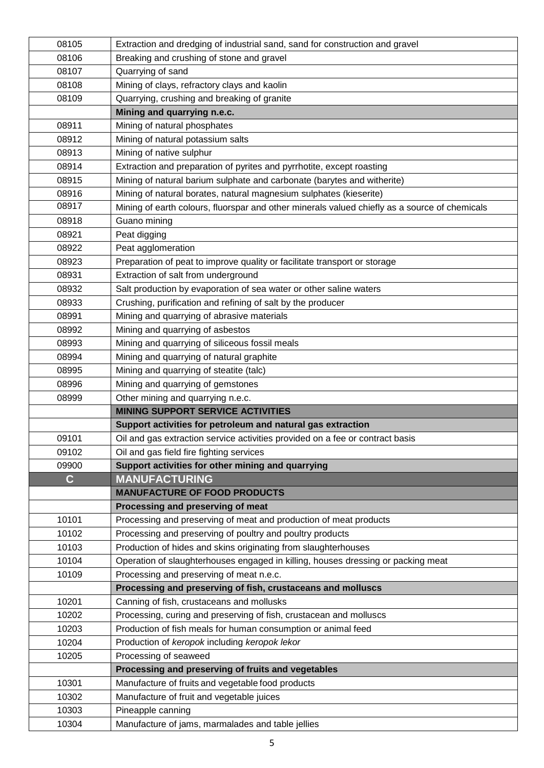| 08105       | Extraction and dredging of industrial sand, sand for construction and gravel                  |
|-------------|-----------------------------------------------------------------------------------------------|
| 08106       | Breaking and crushing of stone and gravel                                                     |
| 08107       | Quarrying of sand                                                                             |
| 08108       | Mining of clays, refractory clays and kaolin                                                  |
| 08109       | Quarrying, crushing and breaking of granite                                                   |
|             | Mining and quarrying n.e.c.                                                                   |
| 08911       | Mining of natural phosphates                                                                  |
| 08912       | Mining of natural potassium salts                                                             |
| 08913       | Mining of native sulphur                                                                      |
| 08914       | Extraction and preparation of pyrites and pyrrhotite, except roasting                         |
| 08915       | Mining of natural barium sulphate and carbonate (barytes and witherite)                       |
| 08916       | Mining of natural borates, natural magnesium sulphates (kieserite)                            |
| 08917       | Mining of earth colours, fluorspar and other minerals valued chiefly as a source of chemicals |
| 08918       | Guano mining                                                                                  |
| 08921       | Peat digging                                                                                  |
| 08922       | Peat agglomeration                                                                            |
| 08923       | Preparation of peat to improve quality or facilitate transport or storage                     |
| 08931       | Extraction of salt from underground                                                           |
| 08932       | Salt production by evaporation of sea water or other saline waters                            |
| 08933       | Crushing, purification and refining of salt by the producer                                   |
| 08991       | Mining and quarrying of abrasive materials                                                    |
| 08992       | Mining and quarrying of asbestos                                                              |
| 08993       | Mining and quarrying of siliceous fossil meals                                                |
| 08994       | Mining and quarrying of natural graphite                                                      |
| 08995       | Mining and quarrying of steatite (talc)                                                       |
| 08996       | Mining and quarrying of gemstones                                                             |
| 08999       | Other mining and quarrying n.e.c.                                                             |
|             | <b>MINING SUPPORT SERVICE ACTIVITIES</b>                                                      |
|             | Support activities for petroleum and natural gas extraction                                   |
| 09101       | Oil and gas extraction service activities provided on a fee or contract basis                 |
| 09102       | Oil and gas field fire fighting services                                                      |
| 09900       | Support activities for other mining and quarrying                                             |
| $\mathbf C$ | <b>MANUFACTURING</b>                                                                          |
|             | <b>MANUFACTURE OF FOOD PRODUCTS</b>                                                           |
|             | Processing and preserving of meat                                                             |
| 10101       | Processing and preserving of meat and production of meat products                             |
| 10102       | Processing and preserving of poultry and poultry products                                     |
| 10103       | Production of hides and skins originating from slaughterhouses                                |
| 10104       | Operation of slaughterhouses engaged in killing, houses dressing or packing meat              |
| 10109       | Processing and preserving of meat n.e.c.                                                      |
|             | Processing and preserving of fish, crustaceans and molluscs                                   |
| 10201       | Canning of fish, crustaceans and mollusks                                                     |
| 10202       | Processing, curing and preserving of fish, crustacean and molluscs                            |
| 10203       | Production of fish meals for human consumption or animal feed                                 |
| 10204       | Production of keropok including keropok lekor                                                 |
| 10205       | Processing of seaweed                                                                         |
|             | Processing and preserving of fruits and vegetables                                            |
| 10301       | Manufacture of fruits and vegetable food products                                             |
| 10302       | Manufacture of fruit and vegetable juices                                                     |
| 10303       | Pineapple canning                                                                             |
| 10304       | Manufacture of jams, marmalades and table jellies                                             |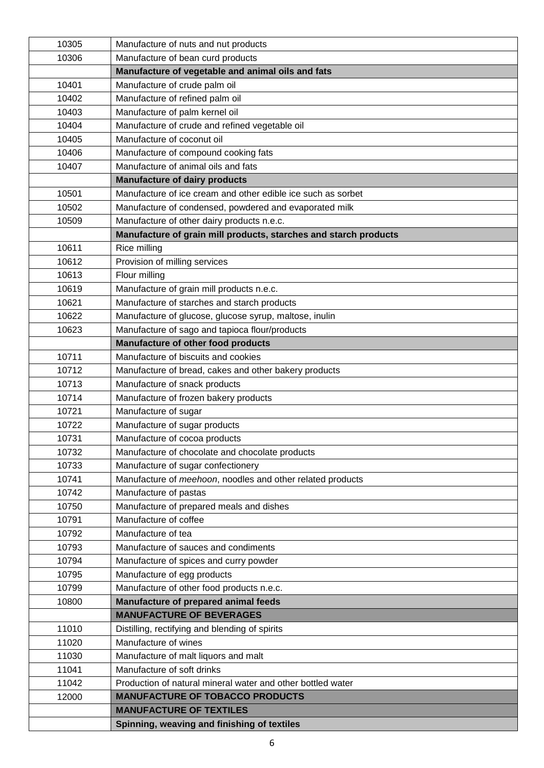| 10305 | Manufacture of nuts and nut products                             |
|-------|------------------------------------------------------------------|
| 10306 | Manufacture of bean curd products                                |
|       | Manufacture of vegetable and animal oils and fats                |
| 10401 | Manufacture of crude palm oil                                    |
| 10402 | Manufacture of refined palm oil                                  |
| 10403 | Manufacture of palm kernel oil                                   |
| 10404 | Manufacture of crude and refined vegetable oil                   |
| 10405 | Manufacture of coconut oil                                       |
| 10406 | Manufacture of compound cooking fats                             |
| 10407 | Manufacture of animal oils and fats                              |
|       | <b>Manufacture of dairy products</b>                             |
| 10501 | Manufacture of ice cream and other edible ice such as sorbet     |
| 10502 | Manufacture of condensed, powdered and evaporated milk           |
| 10509 | Manufacture of other dairy products n.e.c.                       |
|       | Manufacture of grain mill products, starches and starch products |
| 10611 | Rice milling                                                     |
| 10612 | Provision of milling services                                    |
| 10613 | Flour milling                                                    |
| 10619 | Manufacture of grain mill products n.e.c.                        |
| 10621 | Manufacture of starches and starch products                      |
| 10622 | Manufacture of glucose, glucose syrup, maltose, inulin           |
| 10623 | Manufacture of sago and tapioca flour/products                   |
|       | Manufacture of other food products                               |
| 10711 | Manufacture of biscuits and cookies                              |
| 10712 | Manufacture of bread, cakes and other bakery products            |
| 10713 | Manufacture of snack products                                    |
| 10714 | Manufacture of frozen bakery products                            |
| 10721 | Manufacture of sugar                                             |
| 10722 | Manufacture of sugar products                                    |
| 10731 | Manufacture of cocoa products                                    |
| 10732 | Manufacture of chocolate and chocolate products                  |
| 10733 | Manufacture of sugar confectionery                               |
| 10741 | Manufacture of meehoon, noodles and other related products       |
| 10742 | Manufacture of pastas                                            |
| 10750 | Manufacture of prepared meals and dishes                         |
| 10791 | Manufacture of coffee                                            |
| 10792 | Manufacture of tea                                               |
| 10793 | Manufacture of sauces and condiments                             |
| 10794 | Manufacture of spices and curry powder                           |
| 10795 | Manufacture of egg products                                      |
| 10799 | Manufacture of other food products n.e.c.                        |
| 10800 | Manufacture of prepared animal feeds                             |
|       | <b>MANUFACTURE OF BEVERAGES</b>                                  |
| 11010 | Distilling, rectifying and blending of spirits                   |
| 11020 | Manufacture of wines                                             |
| 11030 | Manufacture of malt liquors and malt                             |
| 11041 | Manufacture of soft drinks                                       |
| 11042 | Production of natural mineral water and other bottled water      |
| 12000 | <b>MANUFACTURE OF TOBACCO PRODUCTS</b>                           |
|       | <b>MANUFACTURE OF TEXTILES</b>                                   |
|       | Spinning, weaving and finishing of textiles                      |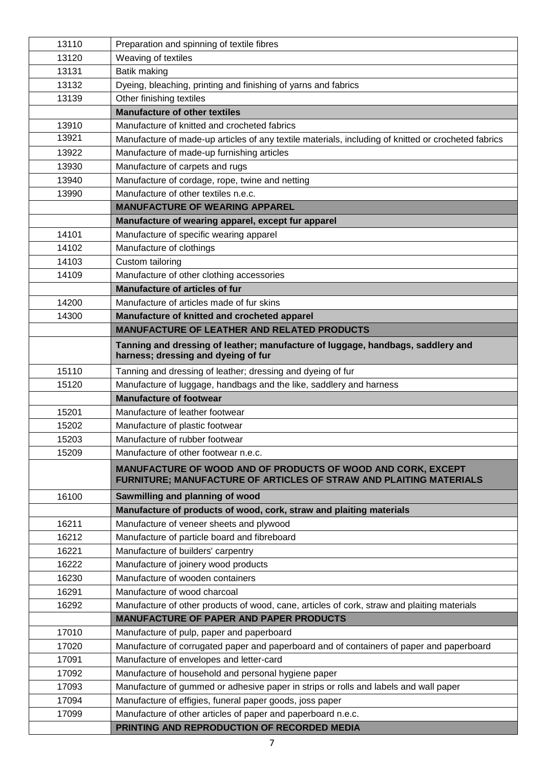| 13110 | Preparation and spinning of textile fibres                                                                                         |
|-------|------------------------------------------------------------------------------------------------------------------------------------|
| 13120 | Weaving of textiles                                                                                                                |
| 13131 | Batik making                                                                                                                       |
| 13132 | Dyeing, bleaching, printing and finishing of yarns and fabrics                                                                     |
| 13139 | Other finishing textiles                                                                                                           |
|       | <b>Manufacture of other textiles</b>                                                                                               |
| 13910 | Manufacture of knitted and crocheted fabrics                                                                                       |
| 13921 | Manufacture of made-up articles of any textile materials, including of knitted or crocheted fabrics                                |
| 13922 | Manufacture of made-up furnishing articles                                                                                         |
| 13930 | Manufacture of carpets and rugs                                                                                                    |
| 13940 | Manufacture of cordage, rope, twine and netting                                                                                    |
| 13990 | Manufacture of other textiles n.e.c.                                                                                               |
|       | <b>MANUFACTURE OF WEARING APPAREL</b>                                                                                              |
|       | Manufacture of wearing apparel, except fur apparel                                                                                 |
| 14101 | Manufacture of specific wearing apparel                                                                                            |
| 14102 | Manufacture of clothings                                                                                                           |
| 14103 | Custom tailoring                                                                                                                   |
| 14109 | Manufacture of other clothing accessories                                                                                          |
|       | <b>Manufacture of articles of fur</b>                                                                                              |
| 14200 | Manufacture of articles made of fur skins                                                                                          |
| 14300 | Manufacture of knitted and crocheted apparel                                                                                       |
|       | <b>MANUFACTURE OF LEATHER AND RELATED PRODUCTS</b>                                                                                 |
|       | Tanning and dressing of leather; manufacture of luggage, handbags, saddlery and<br>harness; dressing and dyeing of fur             |
| 15110 | Tanning and dressing of leather; dressing and dyeing of fur                                                                        |
| 15120 | Manufacture of luggage, handbags and the like, saddlery and harness                                                                |
|       | <b>Manufacture of footwear</b>                                                                                                     |
| 15201 | Manufacture of leather footwear                                                                                                    |
| 15202 | Manufacture of plastic footwear                                                                                                    |
| 15203 | Manufacture of rubber footwear                                                                                                     |
| 15209 | Manufacture of other footwear n.e.c.                                                                                               |
|       | MANUFACTURE OF WOOD AND OF PRODUCTS OF WOOD AND CORK, EXCEPT<br>FURNITURE; MANUFACTURE OF ARTICLES OF STRAW AND PLAITING MATERIALS |
| 16100 | Sawmilling and planning of wood                                                                                                    |
|       | Manufacture of products of wood, cork, straw and plaiting materials                                                                |
| 16211 | Manufacture of veneer sheets and plywood                                                                                           |
| 16212 | Manufacture of particle board and fibreboard                                                                                       |
| 16221 | Manufacture of builders' carpentry                                                                                                 |
| 16222 | Manufacture of joinery wood products                                                                                               |
| 16230 | Manufacture of wooden containers                                                                                                   |
| 16291 | Manufacture of wood charcoal                                                                                                       |
| 16292 | Manufacture of other products of wood, cane, articles of cork, straw and plaiting materials                                        |
|       | <b>MANUFACTURE OF PAPER AND PAPER PRODUCTS</b>                                                                                     |
| 17010 | Manufacture of pulp, paper and paperboard                                                                                          |
| 17020 | Manufacture of corrugated paper and paperboard and of containers of paper and paperboard                                           |
| 17091 | Manufacture of envelopes and letter-card                                                                                           |
| 17092 | Manufacture of household and personal hygiene paper                                                                                |
| 17093 | Manufacture of gummed or adhesive paper in strips or rolls and labels and wall paper                                               |
| 17094 | Manufacture of effigies, funeral paper goods, joss paper                                                                           |
| 17099 | Manufacture of other articles of paper and paperboard n.e.c.                                                                       |
|       | PRINTING AND REPRODUCTION OF RECORDED MEDIA                                                                                        |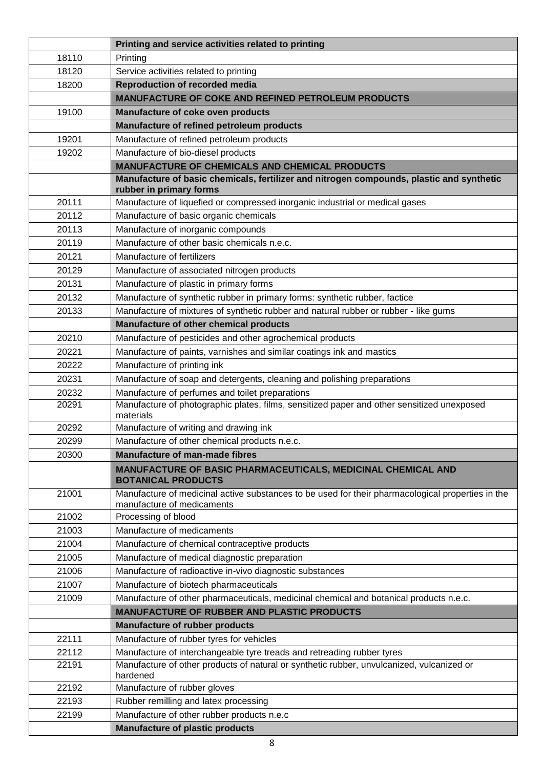|       | Printing and service activities related to printing                                                                             |
|-------|---------------------------------------------------------------------------------------------------------------------------------|
| 18110 | Printing                                                                                                                        |
| 18120 | Service activities related to printing                                                                                          |
| 18200 | <b>Reproduction of recorded media</b>                                                                                           |
|       | <b>MANUFACTURE OF COKE AND REFINED PETROLEUM PRODUCTS</b>                                                                       |
| 19100 | Manufacture of coke oven products                                                                                               |
|       | Manufacture of refined petroleum products                                                                                       |
| 19201 | Manufacture of refined petroleum products                                                                                       |
| 19202 | Manufacture of bio-diesel products                                                                                              |
|       | <b>MANUFACTURE OF CHEMICALS AND CHEMICAL PRODUCTS</b>                                                                           |
|       | Manufacture of basic chemicals, fertilizer and nitrogen compounds, plastic and synthetic<br>rubber in primary forms             |
| 20111 | Manufacture of liquefied or compressed inorganic industrial or medical gases                                                    |
| 20112 | Manufacture of basic organic chemicals                                                                                          |
| 20113 | Manufacture of inorganic compounds                                                                                              |
| 20119 | Manufacture of other basic chemicals n.e.c.                                                                                     |
| 20121 | Manufacture of fertilizers                                                                                                      |
| 20129 | Manufacture of associated nitrogen products                                                                                     |
| 20131 | Manufacture of plastic in primary forms                                                                                         |
| 20132 | Manufacture of synthetic rubber in primary forms: synthetic rubber, factice                                                     |
| 20133 | Manufacture of mixtures of synthetic rubber and natural rubber or rubber - like gums                                            |
|       | Manufacture of other chemical products                                                                                          |
| 20210 | Manufacture of pesticides and other agrochemical products                                                                       |
| 20221 | Manufacture of paints, varnishes and similar coatings ink and mastics                                                           |
| 20222 | Manufacture of printing ink                                                                                                     |
| 20231 | Manufacture of soap and detergents, cleaning and polishing preparations                                                         |
| 20232 | Manufacture of perfumes and toilet preparations                                                                                 |
| 20291 | Manufacture of photographic plates, films, sensitized paper and other sensitized unexposed<br>materials                         |
| 20292 | Manufacture of writing and drawing ink                                                                                          |
| 20299 | Manufacture of other chemical products n.e.c.                                                                                   |
| 20300 | <b>Manufacture of man-made fibres</b>                                                                                           |
|       | MANUFACTURE OF BASIC PHARMACEUTICALS, MEDICINAL CHEMICAL AND<br><b>BOTANICAL PRODUCTS</b>                                       |
| 21001 | Manufacture of medicinal active substances to be used for their pharmacological properties in the<br>manufacture of medicaments |
| 21002 | Processing of blood                                                                                                             |
| 21003 | Manufacture of medicaments                                                                                                      |
| 21004 | Manufacture of chemical contraceptive products                                                                                  |
| 21005 | Manufacture of medical diagnostic preparation                                                                                   |
| 21006 | Manufacture of radioactive in-vivo diagnostic substances                                                                        |
| 21007 | Manufacture of biotech pharmaceuticals                                                                                          |
| 21009 | Manufacture of other pharmaceuticals, medicinal chemical and botanical products n.e.c.                                          |
|       | <b>MANUFACTURE OF RUBBER AND PLASTIC PRODUCTS</b>                                                                               |
|       | <b>Manufacture of rubber products</b>                                                                                           |
| 22111 | Manufacture of rubber tyres for vehicles                                                                                        |
| 22112 | Manufacture of interchangeable tyre treads and retreading rubber tyres                                                          |
| 22191 | Manufacture of other products of natural or synthetic rubber, unvulcanized, vulcanized or<br>hardened                           |
| 22192 | Manufacture of rubber gloves                                                                                                    |
| 22193 | Rubber remilling and latex processing                                                                                           |
| 22199 | Manufacture of other rubber products n.e.c                                                                                      |
|       | <b>Manufacture of plastic products</b>                                                                                          |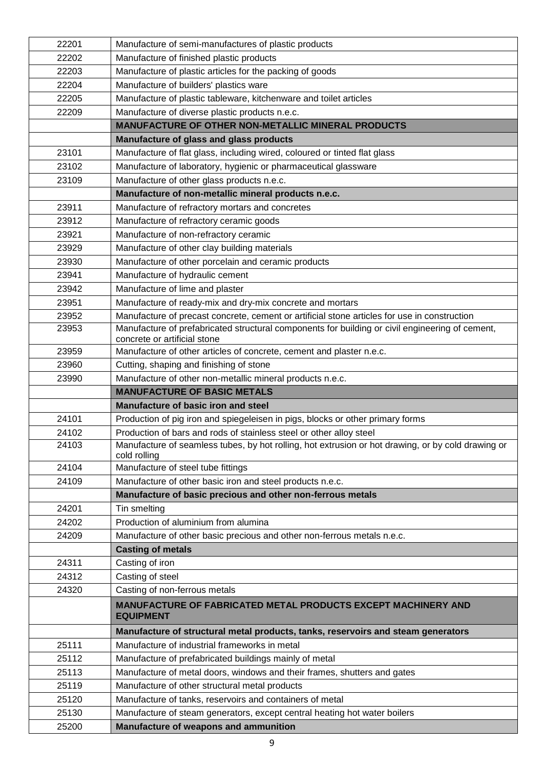| 22201 | Manufacture of semi-manufactures of plastic products                                                                            |
|-------|---------------------------------------------------------------------------------------------------------------------------------|
| 22202 | Manufacture of finished plastic products                                                                                        |
| 22203 | Manufacture of plastic articles for the packing of goods                                                                        |
| 22204 | Manufacture of builders' plastics ware                                                                                          |
| 22205 | Manufacture of plastic tableware, kitchenware and toilet articles                                                               |
| 22209 | Manufacture of diverse plastic products n.e.c.                                                                                  |
|       | <b>MANUFACTURE OF OTHER NON-METALLIC MINERAL PRODUCTS</b>                                                                       |
|       | Manufacture of glass and glass products                                                                                         |
| 23101 | Manufacture of flat glass, including wired, coloured or tinted flat glass                                                       |
| 23102 | Manufacture of laboratory, hygienic or pharmaceutical glassware                                                                 |
| 23109 | Manufacture of other glass products n.e.c.                                                                                      |
|       | Manufacture of non-metallic mineral products n.e.c.                                                                             |
| 23911 | Manufacture of refractory mortars and concretes                                                                                 |
| 23912 | Manufacture of refractory ceramic goods                                                                                         |
| 23921 | Manufacture of non-refractory ceramic                                                                                           |
| 23929 | Manufacture of other clay building materials                                                                                    |
| 23930 | Manufacture of other porcelain and ceramic products                                                                             |
| 23941 | Manufacture of hydraulic cement                                                                                                 |
| 23942 | Manufacture of lime and plaster                                                                                                 |
| 23951 | Manufacture of ready-mix and dry-mix concrete and mortars                                                                       |
| 23952 | Manufacture of precast concrete, cement or artificial stone articles for use in construction                                    |
| 23953 | Manufacture of prefabricated structural components for building or civil engineering of cement,<br>concrete or artificial stone |
| 23959 | Manufacture of other articles of concrete, cement and plaster n.e.c.                                                            |
| 23960 | Cutting, shaping and finishing of stone                                                                                         |
| 23990 | Manufacture of other non-metallic mineral products n.e.c.                                                                       |
|       |                                                                                                                                 |
|       | <b>MANUFACTURE OF BASIC METALS</b>                                                                                              |
|       | Manufacture of basic iron and steel                                                                                             |
| 24101 | Production of pig iron and spiegeleisen in pigs, blocks or other primary forms                                                  |
| 24102 | Production of bars and rods of stainless steel or other alloy steel                                                             |
| 24103 | Manufacture of seamless tubes, by hot rolling, hot extrusion or hot drawing, or by cold drawing or<br>cold rolling              |
| 24104 | Manufacture of steel tube fittings                                                                                              |
| 24109 | Manufacture of other basic iron and steel products n.e.c.                                                                       |
|       | Manufacture of basic precious and other non-ferrous metals                                                                      |
| 24201 | Tin smelting                                                                                                                    |
| 24202 | Production of aluminium from alumina                                                                                            |
| 24209 | Manufacture of other basic precious and other non-ferrous metals n.e.c.                                                         |
|       | <b>Casting of metals</b>                                                                                                        |
| 24311 | Casting of iron                                                                                                                 |
| 24312 | Casting of steel                                                                                                                |
| 24320 | Casting of non-ferrous metals                                                                                                   |
|       | <b>MANUFACTURE OF FABRICATED METAL PRODUCTS EXCEPT MACHINERY AND</b><br><b>EQUIPMENT</b>                                        |
|       | Manufacture of structural metal products, tanks, reservoirs and steam generators                                                |
| 25111 | Manufacture of industrial frameworks in metal                                                                                   |
| 25112 | Manufacture of prefabricated buildings mainly of metal                                                                          |
| 25113 | Manufacture of metal doors, windows and their frames, shutters and gates                                                        |
| 25119 | Manufacture of other structural metal products                                                                                  |
| 25120 | Manufacture of tanks, reservoirs and containers of metal                                                                        |
| 25130 | Manufacture of steam generators, except central heating hot water boilers                                                       |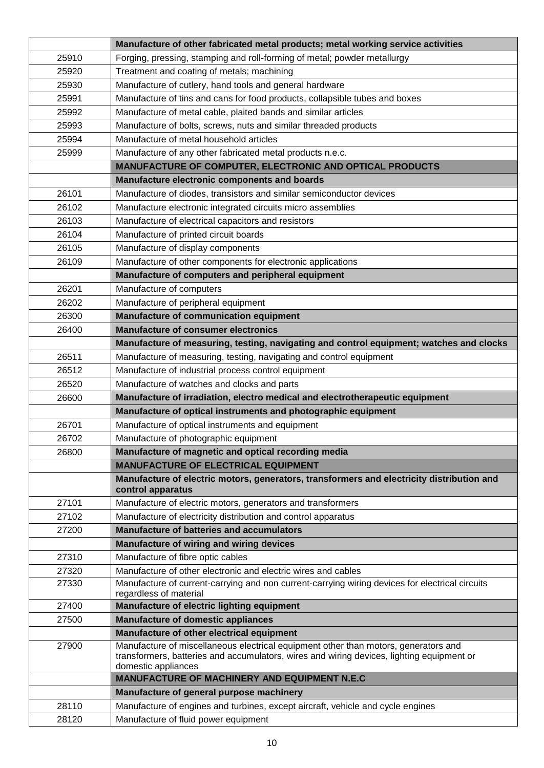|       | Manufacture of other fabricated metal products; metal working service activities                                                                                                                        |
|-------|---------------------------------------------------------------------------------------------------------------------------------------------------------------------------------------------------------|
| 25910 | Forging, pressing, stamping and roll-forming of metal; powder metallurgy                                                                                                                                |
| 25920 | Treatment and coating of metals; machining                                                                                                                                                              |
| 25930 | Manufacture of cutlery, hand tools and general hardware                                                                                                                                                 |
| 25991 | Manufacture of tins and cans for food products, collapsible tubes and boxes                                                                                                                             |
| 25992 | Manufacture of metal cable, plaited bands and similar articles                                                                                                                                          |
| 25993 | Manufacture of bolts, screws, nuts and similar threaded products                                                                                                                                        |
| 25994 | Manufacture of metal household articles                                                                                                                                                                 |
| 25999 | Manufacture of any other fabricated metal products n.e.c.                                                                                                                                               |
|       | MANUFACTURE OF COMPUTER, ELECTRONIC AND OPTICAL PRODUCTS                                                                                                                                                |
|       | Manufacture electronic components and boards                                                                                                                                                            |
| 26101 | Manufacture of diodes, transistors and similar semiconductor devices                                                                                                                                    |
| 26102 | Manufacture electronic integrated circuits micro assemblies                                                                                                                                             |
| 26103 | Manufacture of electrical capacitors and resistors                                                                                                                                                      |
| 26104 | Manufacture of printed circuit boards                                                                                                                                                                   |
| 26105 | Manufacture of display components                                                                                                                                                                       |
| 26109 | Manufacture of other components for electronic applications                                                                                                                                             |
|       | Manufacture of computers and peripheral equipment                                                                                                                                                       |
| 26201 | Manufacture of computers                                                                                                                                                                                |
| 26202 | Manufacture of peripheral equipment                                                                                                                                                                     |
| 26300 | Manufacture of communication equipment                                                                                                                                                                  |
| 26400 | <b>Manufacture of consumer electronics</b>                                                                                                                                                              |
|       | Manufacture of measuring, testing, navigating and control equipment; watches and clocks                                                                                                                 |
| 26511 | Manufacture of measuring, testing, navigating and control equipment                                                                                                                                     |
| 26512 | Manufacture of industrial process control equipment                                                                                                                                                     |
| 26520 | Manufacture of watches and clocks and parts                                                                                                                                                             |
| 26600 | Manufacture of irradiation, electro medical and electrotherapeutic equipment                                                                                                                            |
|       | Manufacture of optical instruments and photographic equipment                                                                                                                                           |
| 26701 | Manufacture of optical instruments and equipment                                                                                                                                                        |
| 26702 | Manufacture of photographic equipment                                                                                                                                                                   |
| 26800 | Manufacture of magnetic and optical recording media                                                                                                                                                     |
|       | <b>MANUFACTURE OF ELECTRICAL EQUIPMENT</b>                                                                                                                                                              |
|       | Manufacture of electric motors, generators, transformers and electricity distribution and                                                                                                               |
|       | control apparatus                                                                                                                                                                                       |
| 27101 | Manufacture of electric motors, generators and transformers                                                                                                                                             |
| 27102 | Manufacture of electricity distribution and control apparatus<br><b>Manufacture of batteries and accumulators</b>                                                                                       |
| 27200 |                                                                                                                                                                                                         |
| 27310 | Manufacture of wiring and wiring devices                                                                                                                                                                |
| 27320 | Manufacture of fibre optic cables<br>Manufacture of other electronic and electric wires and cables                                                                                                      |
| 27330 | Manufacture of current-carrying and non current-carrying wiring devices for electrical circuits                                                                                                         |
|       | regardless of material                                                                                                                                                                                  |
| 27400 | Manufacture of electric lighting equipment                                                                                                                                                              |
| 27500 | <b>Manufacture of domestic appliances</b>                                                                                                                                                               |
|       | Manufacture of other electrical equipment                                                                                                                                                               |
| 27900 | Manufacture of miscellaneous electrical equipment other than motors, generators and<br>transformers, batteries and accumulators, wires and wiring devices, lighting equipment or<br>domestic appliances |
|       | MANUFACTURE OF MACHINERY AND EQUIPMENT N.E.C                                                                                                                                                            |
|       | Manufacture of general purpose machinery                                                                                                                                                                |
| 28110 | Manufacture of engines and turbines, except aircraft, vehicle and cycle engines                                                                                                                         |
| 28120 | Manufacture of fluid power equipment                                                                                                                                                                    |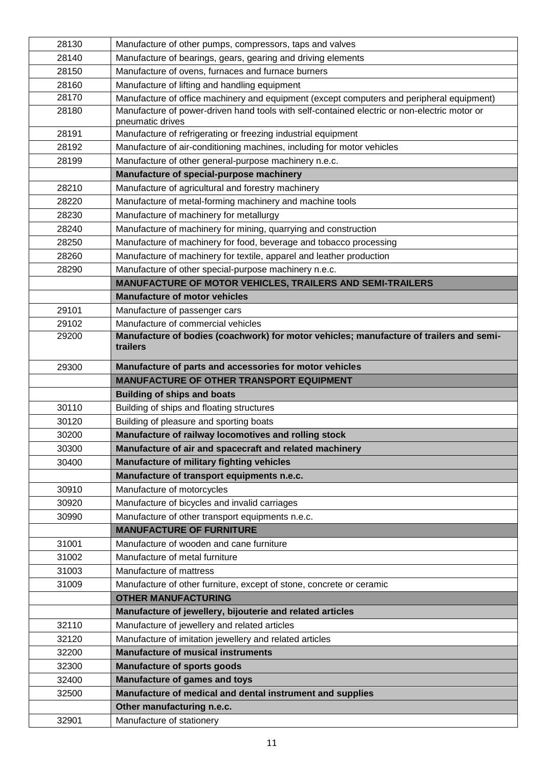| 28130 | Manufacture of other pumps, compressors, taps and valves                                                         |
|-------|------------------------------------------------------------------------------------------------------------------|
| 28140 | Manufacture of bearings, gears, gearing and driving elements                                                     |
| 28150 | Manufacture of ovens, furnaces and furnace burners                                                               |
| 28160 | Manufacture of lifting and handling equipment                                                                    |
| 28170 | Manufacture of office machinery and equipment (except computers and peripheral equipment)                        |
| 28180 | Manufacture of power-driven hand tools with self-contained electric or non-electric motor or<br>pneumatic drives |
| 28191 | Manufacture of refrigerating or freezing industrial equipment                                                    |
| 28192 | Manufacture of air-conditioning machines, including for motor vehicles                                           |
| 28199 | Manufacture of other general-purpose machinery n.e.c.                                                            |
|       | Manufacture of special-purpose machinery                                                                         |
| 28210 | Manufacture of agricultural and forestry machinery                                                               |
| 28220 | Manufacture of metal-forming machinery and machine tools                                                         |
| 28230 | Manufacture of machinery for metallurgy                                                                          |
| 28240 | Manufacture of machinery for mining, quarrying and construction                                                  |
| 28250 | Manufacture of machinery for food, beverage and tobacco processing                                               |
| 28260 | Manufacture of machinery for textile, apparel and leather production                                             |
| 28290 | Manufacture of other special-purpose machinery n.e.c.                                                            |
|       | MANUFACTURE OF MOTOR VEHICLES, TRAILERS AND SEMI-TRAILERS                                                        |
|       | <b>Manufacture of motor vehicles</b>                                                                             |
| 29101 | Manufacture of passenger cars                                                                                    |
| 29102 | Manufacture of commercial vehicles                                                                               |
| 29200 | Manufacture of bodies (coachwork) for motor vehicles; manufacture of trailers and semi-<br>trailers              |
| 29300 | Manufacture of parts and accessories for motor vehicles                                                          |
|       | <b>MANUFACTURE OF OTHER TRANSPORT EQUIPMENT</b>                                                                  |
|       | <b>Building of ships and boats</b>                                                                               |
| 30110 | Building of ships and floating structures                                                                        |
| 30120 | Building of pleasure and sporting boats                                                                          |
| 30200 | Manufacture of railway locomotives and rolling stock                                                             |
| 30300 | Manufacture of air and spacecraft and related machinery                                                          |
| 30400 | Manufacture of military fighting vehicles                                                                        |
|       | Manufacture of transport equipments n.e.c.                                                                       |
| 30910 | Manufacture of motorcycles                                                                                       |
| 30920 | Manufacture of bicycles and invalid carriages                                                                    |
| 30990 | Manufacture of other transport equipments n.e.c.                                                                 |
|       | <b>MANUFACTURE OF FURNITURE</b>                                                                                  |
| 31001 | Manufacture of wooden and cane furniture                                                                         |
| 31002 | Manufacture of metal furniture                                                                                   |
| 31003 | Manufacture of mattress                                                                                          |
| 31009 | Manufacture of other furniture, except of stone, concrete or ceramic                                             |
|       | <b>OTHER MANUFACTURING</b>                                                                                       |
|       | Manufacture of jewellery, bijouterie and related articles                                                        |
| 32110 | Manufacture of jewellery and related articles                                                                    |
| 32120 | Manufacture of imitation jewellery and related articles                                                          |
| 32200 | <b>Manufacture of musical instruments</b>                                                                        |
| 32300 | <b>Manufacture of sports goods</b>                                                                               |
| 32400 | Manufacture of games and toys                                                                                    |
| 32500 | Manufacture of medical and dental instrument and supplies                                                        |
|       | Other manufacturing n.e.c.                                                                                       |
| 32901 | Manufacture of stationery                                                                                        |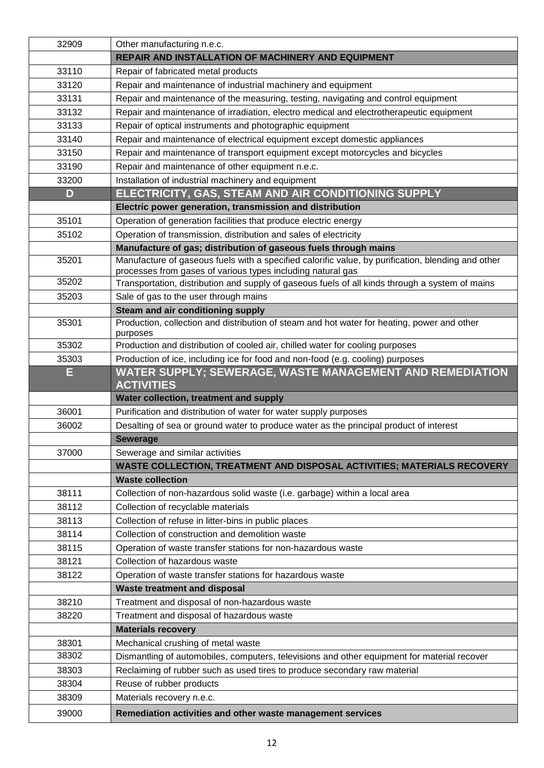| 32909 | Other manufacturing n.e.c.                                                                              |
|-------|---------------------------------------------------------------------------------------------------------|
|       | REPAIR AND INSTALLATION OF MACHINERY AND EQUIPMENT                                                      |
| 33110 | Repair of fabricated metal products                                                                     |
| 33120 | Repair and maintenance of industrial machinery and equipment                                            |
| 33131 | Repair and maintenance of the measuring, testing, navigating and control equipment                      |
| 33132 | Repair and maintenance of irradiation, electro medical and electrotherapeutic equipment                 |
| 33133 | Repair of optical instruments and photographic equipment                                                |
| 33140 | Repair and maintenance of electrical equipment except domestic appliances                               |
| 33150 | Repair and maintenance of transport equipment except motorcycles and bicycles                           |
| 33190 | Repair and maintenance of other equipment n.e.c.                                                        |
| 33200 | Installation of industrial machinery and equipment                                                      |
| D     | ELECTRICITY, GAS, STEAM AND AIR CONDITIONING SUPPLY                                                     |
|       | Electric power generation, transmission and distribution                                                |
| 35101 | Operation of generation facilities that produce electric energy                                         |
| 35102 | Operation of transmission, distribution and sales of electricity                                        |
|       | Manufacture of gas; distribution of gaseous fuels through mains                                         |
| 35201 | Manufacture of gaseous fuels with a specified calorific value, by purification, blending and other      |
|       | processes from gases of various types including natural gas                                             |
| 35202 | Transportation, distribution and supply of gaseous fuels of all kinds through a system of mains         |
| 35203 | Sale of gas to the user through mains                                                                   |
|       | Steam and air conditioning supply                                                                       |
| 35301 | Production, collection and distribution of steam and hot water for heating, power and other<br>purposes |
| 35302 | Production and distribution of cooled air, chilled water for cooling purposes                           |
| 35303 | Production of ice, including ice for food and non-food (e.g. cooling) purposes                          |
| E     | <b>WATER SUPPLY; SEWERAGE, WASTE MANAGEMENT AND REMEDIATION</b><br><b>ACTIVITIES</b>                    |
|       | Water collection, treatment and supply                                                                  |
| 36001 | Purification and distribution of water for water supply purposes                                        |
| 36002 | Desalting of sea or ground water to produce water as the principal product of interest                  |
|       | <b>Sewerage</b>                                                                                         |
| 37000 | Sewerage and similar activities                                                                         |
|       | WASTE COLLECTION, TREATMENT AND DISPOSAL ACTIVITIES; MATERIALS RECOVERY                                 |
|       | <b>Waste collection</b>                                                                                 |
| 38111 | Collection of non-hazardous solid waste (i.e. garbage) within a local area                              |
| 38112 | Collection of recyclable materials                                                                      |
| 38113 | Collection of refuse in litter-bins in public places                                                    |
| 38114 | Collection of construction and demolition waste                                                         |
| 38115 | Operation of waste transfer stations for non-hazardous waste                                            |
| 38121 | Collection of hazardous waste                                                                           |
| 38122 | Operation of waste transfer stations for hazardous waste                                                |
|       | <b>Waste treatment and disposal</b>                                                                     |
| 38210 | Treatment and disposal of non-hazardous waste                                                           |
| 38220 | Treatment and disposal of hazardous waste                                                               |
|       | <b>Materials recovery</b>                                                                               |
| 38301 | Mechanical crushing of metal waste                                                                      |
| 38302 | Dismantling of automobiles, computers, televisions and other equipment for material recover             |
| 38303 | Reclaiming of rubber such as used tires to produce secondary raw material                               |
| 38304 | Reuse of rubber products                                                                                |
| 38309 | Materials recovery n.e.c.                                                                               |
| 39000 | Remediation activities and other waste management services                                              |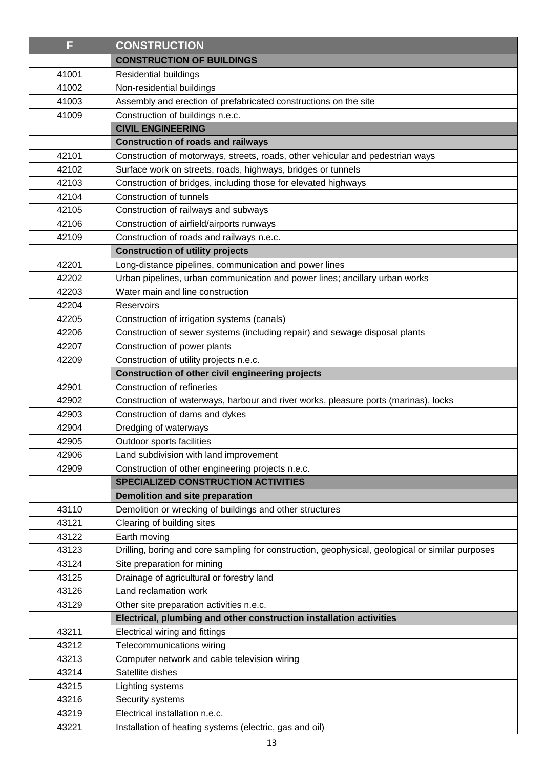| F              | <b>CONSTRUCTION</b>                                                                                             |
|----------------|-----------------------------------------------------------------------------------------------------------------|
|                | <b>CONSTRUCTION OF BUILDINGS</b>                                                                                |
| 41001          | Residential buildings                                                                                           |
| 41002          | Non-residential buildings                                                                                       |
| 41003          | Assembly and erection of prefabricated constructions on the site                                                |
| 41009          | Construction of buildings n.e.c.                                                                                |
|                | <b>CIVIL ENGINEERING</b>                                                                                        |
|                | <b>Construction of roads and railways</b>                                                                       |
| 42101          | Construction of motorways, streets, roads, other vehicular and pedestrian ways                                  |
| 42102          | Surface work on streets, roads, highways, bridges or tunnels                                                    |
| 42103          | Construction of bridges, including those for elevated highways                                                  |
| 42104          | Construction of tunnels                                                                                         |
| 42105          | Construction of railways and subways                                                                            |
| 42106          | Construction of airfield/airports runways                                                                       |
| 42109          | Construction of roads and railways n.e.c.                                                                       |
|                | <b>Construction of utility projects</b>                                                                         |
| 42201          | Long-distance pipelines, communication and power lines                                                          |
| 42202          | Urban pipelines, urban communication and power lines; ancillary urban works                                     |
| 42203          | Water main and line construction                                                                                |
| 42204          | Reservoirs                                                                                                      |
| 42205          | Construction of irrigation systems (canals)                                                                     |
| 42206          | Construction of sewer systems (including repair) and sewage disposal plants                                     |
| 42207          | Construction of power plants                                                                                    |
| 42209          | Construction of utility projects n.e.c.                                                                         |
|                | Construction of other civil engineering projects                                                                |
| 42901          | Construction of refineries                                                                                      |
| 42902          | Construction of waterways, harbour and river works, pleasure ports (marinas), locks                             |
| 42903          | Construction of dams and dykes                                                                                  |
| 42904          | Dredging of waterways                                                                                           |
| 42905          | Outdoor sports facilities                                                                                       |
| 42906          | Land subdivision with land improvement                                                                          |
| 42909          | Construction of other engineering projects n.e.c.                                                               |
|                | <b>SPECIALIZED CONSTRUCTION ACTIVITIES</b>                                                                      |
|                | <b>Demolition and site preparation</b>                                                                          |
| 43110          | Demolition or wrecking of buildings and other structures                                                        |
| 43121          | Clearing of building sites                                                                                      |
| 43122          | Earth moving                                                                                                    |
| 43123<br>43124 | Drilling, boring and core sampling for construction, geophysical, geological or similar purposes                |
| 43125          | Site preparation for mining<br>Drainage of agricultural or forestry land                                        |
|                | Land reclamation work                                                                                           |
| 43126          |                                                                                                                 |
| 43129          | Other site preparation activities n.e.c.<br>Electrical, plumbing and other construction installation activities |
| 43211          | Electrical wiring and fittings                                                                                  |
| 43212          |                                                                                                                 |
| 43213          | Telecommunications wiring<br>Computer network and cable television wiring                                       |
| 43214          | Satellite dishes                                                                                                |
| 43215          |                                                                                                                 |
| 43216          | Lighting systems                                                                                                |
| 43219          | Security systems<br>Electrical installation n.e.c.                                                              |
| 43221          |                                                                                                                 |
|                | Installation of heating systems (electric, gas and oil)                                                         |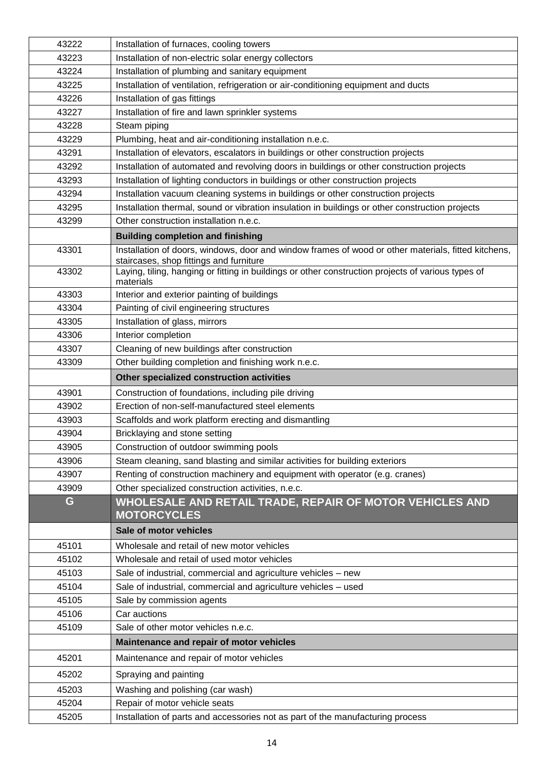| 43222 | Installation of furnaces, cooling towers                                                                                                       |
|-------|------------------------------------------------------------------------------------------------------------------------------------------------|
| 43223 | Installation of non-electric solar energy collectors                                                                                           |
| 43224 | Installation of plumbing and sanitary equipment                                                                                                |
| 43225 | Installation of ventilation, refrigeration or air-conditioning equipment and ducts                                                             |
| 43226 | Installation of gas fittings                                                                                                                   |
| 43227 | Installation of fire and lawn sprinkler systems                                                                                                |
| 43228 | Steam piping                                                                                                                                   |
| 43229 | Plumbing, heat and air-conditioning installation n.e.c.                                                                                        |
| 43291 | Installation of elevators, escalators in buildings or other construction projects                                                              |
| 43292 | Installation of automated and revolving doors in buildings or other construction projects                                                      |
| 43293 | Installation of lighting conductors in buildings or other construction projects                                                                |
| 43294 | Installation vacuum cleaning systems in buildings or other construction projects                                                               |
| 43295 | Installation thermal, sound or vibration insulation in buildings or other construction projects                                                |
| 43299 | Other construction installation n.e.c.                                                                                                         |
|       | <b>Building completion and finishing</b>                                                                                                       |
| 43301 | Installation of doors, windows, door and window frames of wood or other materials, fitted kitchens,<br>staircases, shop fittings and furniture |
| 43302 | Laying, tiling, hanging or fitting in buildings or other construction projects of various types of<br>materials                                |
| 43303 | Interior and exterior painting of buildings                                                                                                    |
| 43304 | Painting of civil engineering structures                                                                                                       |
| 43305 | Installation of glass, mirrors                                                                                                                 |
| 43306 | Interior completion                                                                                                                            |
| 43307 | Cleaning of new buildings after construction                                                                                                   |
| 43309 | Other building completion and finishing work n.e.c.                                                                                            |
|       | Other specialized construction activities                                                                                                      |
| 43901 | Construction of foundations, including pile driving                                                                                            |
| 43902 | Erection of non-self-manufactured steel elements                                                                                               |
| 43903 | Scaffolds and work platform erecting and dismantling                                                                                           |
| 43904 | Bricklaying and stone setting                                                                                                                  |
| 43905 | Construction of outdoor swimming pools                                                                                                         |
| 43906 | Steam cleaning, sand blasting and similar activities for building exteriors                                                                    |
| 43907 | Renting of construction machinery and equipment with operator (e.g. cranes)                                                                    |
| 43909 | Other specialized construction activities, n.e.c.                                                                                              |
| G     | WHOLESALE AND RETAIL TRADE, REPAIR OF MOTOR VEHICLES AND<br><b>MOTORCYCLES</b>                                                                 |
|       | Sale of motor vehicles                                                                                                                         |
| 45101 | Wholesale and retail of new motor vehicles                                                                                                     |
| 45102 | Wholesale and retail of used motor vehicles                                                                                                    |
| 45103 | Sale of industrial, commercial and agriculture vehicles - new                                                                                  |
| 45104 | Sale of industrial, commercial and agriculture vehicles - used                                                                                 |
| 45105 | Sale by commission agents                                                                                                                      |
| 45106 | Car auctions                                                                                                                                   |
| 45109 | Sale of other motor vehicles n.e.c.                                                                                                            |
|       | Maintenance and repair of motor vehicles                                                                                                       |
| 45201 | Maintenance and repair of motor vehicles                                                                                                       |
| 45202 | Spraying and painting                                                                                                                          |
| 45203 | Washing and polishing (car wash)                                                                                                               |
| 45204 | Repair of motor vehicle seats                                                                                                                  |
| 45205 | Installation of parts and accessories not as part of the manufacturing process                                                                 |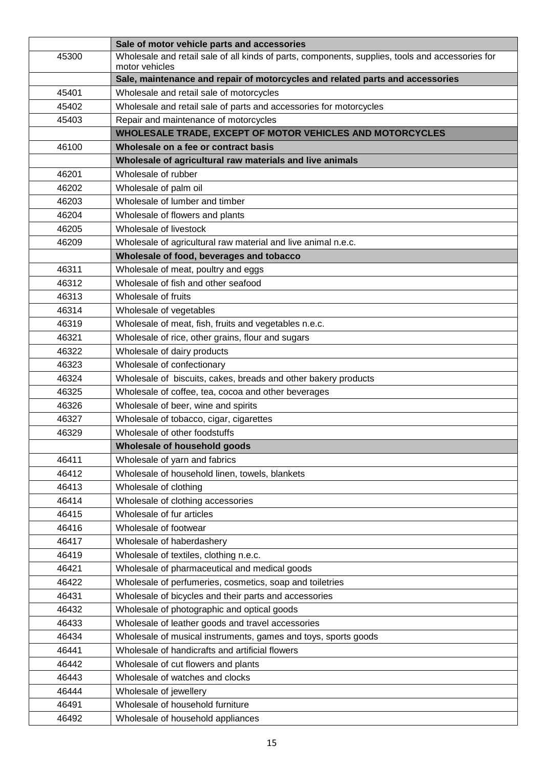|       | Sale of motor vehicle parts and accessories                                                                        |
|-------|--------------------------------------------------------------------------------------------------------------------|
| 45300 | Wholesale and retail sale of all kinds of parts, components, supplies, tools and accessories for<br>motor vehicles |
|       | Sale, maintenance and repair of motorcycles and related parts and accessories                                      |
| 45401 | Wholesale and retail sale of motorcycles                                                                           |
| 45402 | Wholesale and retail sale of parts and accessories for motorcycles                                                 |
| 45403 | Repair and maintenance of motorcycles                                                                              |
|       | WHOLESALE TRADE, EXCEPT OF MOTOR VEHICLES AND MOTORCYCLES                                                          |
| 46100 | Wholesale on a fee or contract basis                                                                               |
|       | Wholesale of agricultural raw materials and live animals                                                           |
| 46201 | Wholesale of rubber                                                                                                |
| 46202 | Wholesale of palm oil                                                                                              |
| 46203 | Wholesale of lumber and timber                                                                                     |
| 46204 | Wholesale of flowers and plants                                                                                    |
| 46205 | Wholesale of livestock                                                                                             |
| 46209 | Wholesale of agricultural raw material and live animal n.e.c.                                                      |
|       | Wholesale of food, beverages and tobacco                                                                           |
| 46311 | Wholesale of meat, poultry and eggs                                                                                |
| 46312 | Wholesale of fish and other seafood                                                                                |
| 46313 | Wholesale of fruits                                                                                                |
| 46314 | Wholesale of vegetables                                                                                            |
| 46319 | Wholesale of meat, fish, fruits and vegetables n.e.c.                                                              |
| 46321 | Wholesale of rice, other grains, flour and sugars                                                                  |
| 46322 | Wholesale of dairy products                                                                                        |
| 46323 | Wholesale of confectionary                                                                                         |
| 46324 | Wholesale of biscuits, cakes, breads and other bakery products                                                     |
| 46325 | Wholesale of coffee, tea, cocoa and other beverages                                                                |
| 46326 | Wholesale of beer, wine and spirits                                                                                |
| 46327 | Wholesale of tobacco, cigar, cigarettes                                                                            |
| 46329 | Wholesale of other foodstuffs                                                                                      |
|       | Wholesale of household goods                                                                                       |
| 46411 | Wholesale of yarn and fabrics                                                                                      |
| 46412 | Wholesale of household linen, towels, blankets                                                                     |
| 46413 | Wholesale of clothing                                                                                              |
| 46414 | Wholesale of clothing accessories                                                                                  |
| 46415 | Wholesale of fur articles                                                                                          |
| 46416 | Wholesale of footwear                                                                                              |
| 46417 | Wholesale of haberdashery                                                                                          |
| 46419 | Wholesale of textiles, clothing n.e.c.                                                                             |
| 46421 | Wholesale of pharmaceutical and medical goods                                                                      |
| 46422 | Wholesale of perfumeries, cosmetics, soap and toiletries                                                           |
| 46431 | Wholesale of bicycles and their parts and accessories                                                              |
| 46432 | Wholesale of photographic and optical goods                                                                        |
| 46433 | Wholesale of leather goods and travel accessories                                                                  |
| 46434 | Wholesale of musical instruments, games and toys, sports goods                                                     |
| 46441 | Wholesale of handicrafts and artificial flowers                                                                    |
| 46442 | Wholesale of cut flowers and plants                                                                                |
| 46443 | Wholesale of watches and clocks                                                                                    |
| 46444 | Wholesale of jewellery                                                                                             |
| 46491 | Wholesale of household furniture                                                                                   |
| 46492 | Wholesale of household appliances                                                                                  |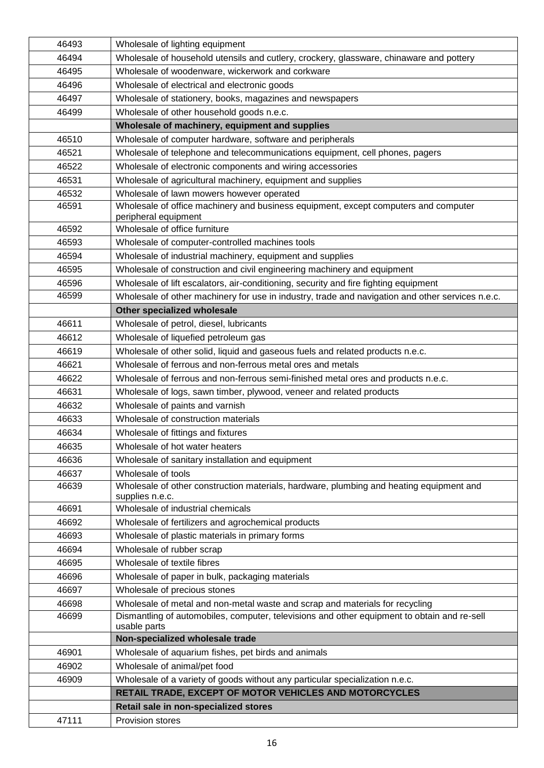| 46493 | Wholesale of lighting equipment                                                                             |
|-------|-------------------------------------------------------------------------------------------------------------|
| 46494 | Wholesale of household utensils and cutlery, crockery, glassware, chinaware and pottery                     |
| 46495 | Wholesale of woodenware, wickerwork and corkware                                                            |
| 46496 | Wholesale of electrical and electronic goods                                                                |
| 46497 | Wholesale of stationery, books, magazines and newspapers                                                    |
| 46499 | Wholesale of other household goods n.e.c.                                                                   |
|       | Wholesale of machinery, equipment and supplies                                                              |
| 46510 | Wholesale of computer hardware, software and peripherals                                                    |
| 46521 | Wholesale of telephone and telecommunications equipment, cell phones, pagers                                |
| 46522 | Wholesale of electronic components and wiring accessories                                                   |
| 46531 | Wholesale of agricultural machinery, equipment and supplies                                                 |
| 46532 | Wholesale of lawn mowers however operated                                                                   |
| 46591 | Wholesale of office machinery and business equipment, except computers and computer                         |
|       | peripheral equipment                                                                                        |
| 46592 | Wholesale of office furniture                                                                               |
| 46593 | Wholesale of computer-controlled machines tools                                                             |
| 46594 | Wholesale of industrial machinery, equipment and supplies                                                   |
| 46595 | Wholesale of construction and civil engineering machinery and equipment                                     |
| 46596 | Wholesale of lift escalators, air-conditioning, security and fire fighting equipment                        |
| 46599 | Wholesale of other machinery for use in industry, trade and navigation and other services n.e.c.            |
|       | Other specialized wholesale                                                                                 |
| 46611 | Wholesale of petrol, diesel, lubricants                                                                     |
| 46612 | Wholesale of liquefied petroleum gas                                                                        |
| 46619 | Wholesale of other solid, liquid and gaseous fuels and related products n.e.c.                              |
| 46621 | Wholesale of ferrous and non-ferrous metal ores and metals                                                  |
| 46622 | Wholesale of ferrous and non-ferrous semi-finished metal ores and products n.e.c.                           |
| 46631 | Wholesale of logs, sawn timber, plywood, veneer and related products                                        |
| 46632 | Wholesale of paints and varnish                                                                             |
| 46633 | Wholesale of construction materials                                                                         |
| 46634 | Wholesale of fittings and fixtures                                                                          |
| 46635 | Wholesale of hot water heaters                                                                              |
| 46636 | Wholesale of sanitary installation and equipment                                                            |
| 46637 | Wholesale of tools                                                                                          |
| 46639 | Wholesale of other construction materials, hardware, plumbing and heating equipment and                     |
|       | supplies n.e.c.                                                                                             |
| 46691 | Wholesale of industrial chemicals                                                                           |
| 46692 | Wholesale of fertilizers and agrochemical products                                                          |
| 46693 | Wholesale of plastic materials in primary forms                                                             |
| 46694 | Wholesale of rubber scrap                                                                                   |
| 46695 | Wholesale of textile fibres                                                                                 |
| 46696 | Wholesale of paper in bulk, packaging materials                                                             |
| 46697 | Wholesale of precious stones                                                                                |
| 46698 | Wholesale of metal and non-metal waste and scrap and materials for recycling                                |
| 46699 | Dismantling of automobiles, computer, televisions and other equipment to obtain and re-sell<br>usable parts |
|       | Non-specialized wholesale trade                                                                             |
| 46901 | Wholesale of aquarium fishes, pet birds and animals                                                         |
| 46902 | Wholesale of animal/pet food                                                                                |
| 46909 | Wholesale of a variety of goods without any particular specialization n.e.c.                                |
|       | RETAIL TRADE, EXCEPT OF MOTOR VEHICLES AND MOTORCYCLES                                                      |
|       | Retail sale in non-specialized stores                                                                       |
| 47111 | Provision stores                                                                                            |
|       |                                                                                                             |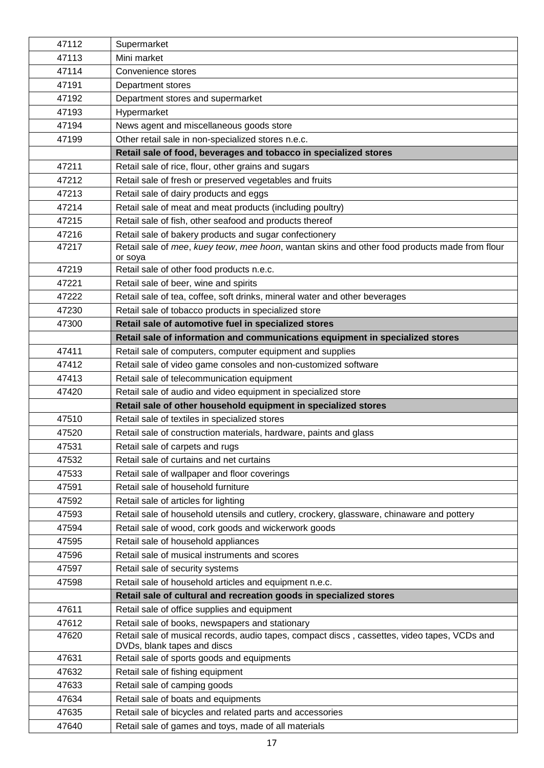| 47112 | Supermarket                                                                                                                 |
|-------|-----------------------------------------------------------------------------------------------------------------------------|
| 47113 | Mini market                                                                                                                 |
| 47114 | Convenience stores                                                                                                          |
| 47191 | Department stores                                                                                                           |
| 47192 | Department stores and supermarket                                                                                           |
| 47193 | Hypermarket                                                                                                                 |
| 47194 | News agent and miscellaneous goods store                                                                                    |
| 47199 | Other retail sale in non-specialized stores n.e.c.                                                                          |
|       | Retail sale of food, beverages and tobacco in specialized stores                                                            |
| 47211 | Retail sale of rice, flour, other grains and sugars                                                                         |
| 47212 | Retail sale of fresh or preserved vegetables and fruits                                                                     |
| 47213 | Retail sale of dairy products and eggs                                                                                      |
| 47214 | Retail sale of meat and meat products (including poultry)                                                                   |
| 47215 | Retail sale of fish, other seafood and products thereof                                                                     |
| 47216 | Retail sale of bakery products and sugar confectionery                                                                      |
| 47217 | Retail sale of mee, kuey teow, mee hoon, wantan skins and other food products made from flour<br>or soya                    |
| 47219 | Retail sale of other food products n.e.c.                                                                                   |
| 47221 | Retail sale of beer, wine and spirits                                                                                       |
| 47222 | Retail sale of tea, coffee, soft drinks, mineral water and other beverages                                                  |
| 47230 | Retail sale of tobacco products in specialized store                                                                        |
| 47300 | Retail sale of automotive fuel in specialized stores                                                                        |
|       | Retail sale of information and communications equipment in specialized stores                                               |
| 47411 | Retail sale of computers, computer equipment and supplies                                                                   |
| 47412 | Retail sale of video game consoles and non-customized software                                                              |
| 47413 | Retail sale of telecommunication equipment                                                                                  |
| 47420 | Retail sale of audio and video equipment in specialized store                                                               |
|       | Retail sale of other household equipment in specialized stores                                                              |
| 47510 | Retail sale of textiles in specialized stores                                                                               |
| 47520 | Retail sale of construction materials, hardware, paints and glass                                                           |
| 47531 | Retail sale of carpets and rugs                                                                                             |
| 47532 | Retail sale of curtains and net curtains                                                                                    |
| 47533 | Retail sale of wallpaper and floor coverings                                                                                |
| 47591 | Retail sale of household furniture                                                                                          |
| 47592 | Retail sale of articles for lighting                                                                                        |
| 47593 | Retail sale of household utensils and cutlery, crockery, glassware, chinaware and pottery                                   |
| 47594 | Retail sale of wood, cork goods and wickerwork goods                                                                        |
| 47595 | Retail sale of household appliances                                                                                         |
| 47596 | Retail sale of musical instruments and scores                                                                               |
| 47597 | Retail sale of security systems                                                                                             |
| 47598 | Retail sale of household articles and equipment n.e.c.                                                                      |
|       | Retail sale of cultural and recreation goods in specialized stores                                                          |
| 47611 | Retail sale of office supplies and equipment                                                                                |
| 47612 | Retail sale of books, newspapers and stationary                                                                             |
| 47620 | Retail sale of musical records, audio tapes, compact discs, cassettes, video tapes, VCDs and<br>DVDs, blank tapes and discs |
| 47631 | Retail sale of sports goods and equipments                                                                                  |
| 47632 | Retail sale of fishing equipment                                                                                            |
| 47633 |                                                                                                                             |
|       | Retail sale of camping goods                                                                                                |
| 47634 | Retail sale of boats and equipments                                                                                         |
| 47635 | Retail sale of bicycles and related parts and accessories                                                                   |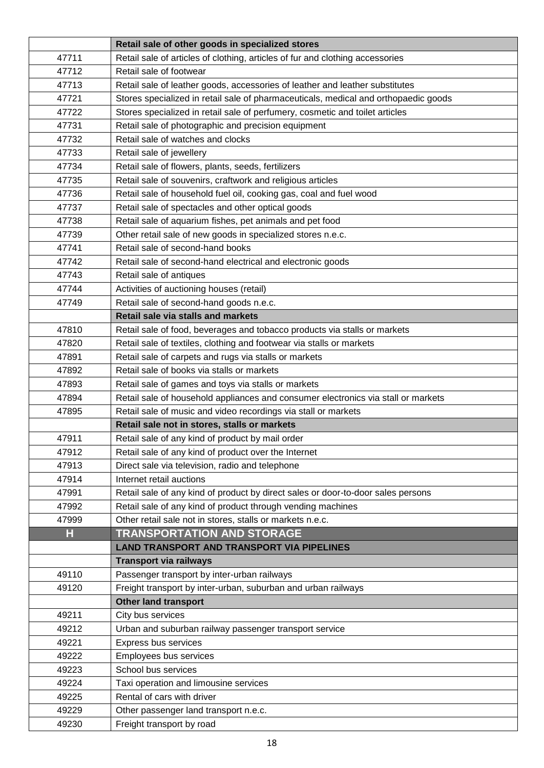|       | Retail sale of other goods in specialized stores                                    |
|-------|-------------------------------------------------------------------------------------|
| 47711 | Retail sale of articles of clothing, articles of fur and clothing accessories       |
| 47712 | Retail sale of footwear                                                             |
| 47713 | Retail sale of leather goods, accessories of leather and leather substitutes        |
| 47721 | Stores specialized in retail sale of pharmaceuticals, medical and orthopaedic goods |
| 47722 | Stores specialized in retail sale of perfumery, cosmetic and toilet articles        |
| 47731 | Retail sale of photographic and precision equipment                                 |
| 47732 | Retail sale of watches and clocks                                                   |
| 47733 | Retail sale of jewellery                                                            |
| 47734 | Retail sale of flowers, plants, seeds, fertilizers                                  |
| 47735 | Retail sale of souvenirs, craftwork and religious articles                          |
| 47736 | Retail sale of household fuel oil, cooking gas, coal and fuel wood                  |
| 47737 | Retail sale of spectacles and other optical goods                                   |
| 47738 | Retail sale of aquarium fishes, pet animals and pet food                            |
| 47739 | Other retail sale of new goods in specialized stores n.e.c.                         |
| 47741 | Retail sale of second-hand books                                                    |
| 47742 | Retail sale of second-hand electrical and electronic goods                          |
| 47743 | Retail sale of antiques                                                             |
| 47744 | Activities of auctioning houses (retail)                                            |
| 47749 | Retail sale of second-hand goods n.e.c.                                             |
|       | Retail sale via stalls and markets                                                  |
| 47810 | Retail sale of food, beverages and tobacco products via stalls or markets           |
| 47820 | Retail sale of textiles, clothing and footwear via stalls or markets                |
| 47891 | Retail sale of carpets and rugs via stalls or markets                               |
| 47892 | Retail sale of books via stalls or markets                                          |
| 47893 | Retail sale of games and toys via stalls or markets                                 |
| 47894 | Retail sale of household appliances and consumer electronics via stall or markets   |
| 47895 | Retail sale of music and video recordings via stall or markets                      |
|       | Retail sale not in stores, stalls or markets                                        |
| 47911 | Retail sale of any kind of product by mail order                                    |
| 47912 | Retail sale of any kind of product over the Internet                                |
| 47913 | Direct sale via television, radio and telephone                                     |
| 47914 | Internet retail auctions                                                            |
| 47991 | Retail sale of any kind of product by direct sales or door-to-door sales persons    |
| 47992 | Retail sale of any kind of product through vending machines                         |
| 47999 | Other retail sale not in stores, stalls or markets n.e.c.                           |
| Н     | <b>TRANSPORTATION AND STORAGE</b>                                                   |
|       | <b>LAND TRANSPORT AND TRANSPORT VIA PIPELINES</b>                                   |
|       | <b>Transport via railways</b>                                                       |
| 49110 | Passenger transport by inter-urban railways                                         |
| 49120 | Freight transport by inter-urban, suburban and urban railways                       |
|       | <b>Other land transport</b>                                                         |
| 49211 | City bus services                                                                   |
| 49212 | Urban and suburban railway passenger transport service                              |
| 49221 | Express bus services                                                                |
| 49222 | Employees bus services                                                              |
| 49223 | School bus services                                                                 |
| 49224 | Taxi operation and limousine services                                               |
| 49225 | Rental of cars with driver                                                          |
| 49229 | Other passenger land transport n.e.c.                                               |
| 49230 | Freight transport by road                                                           |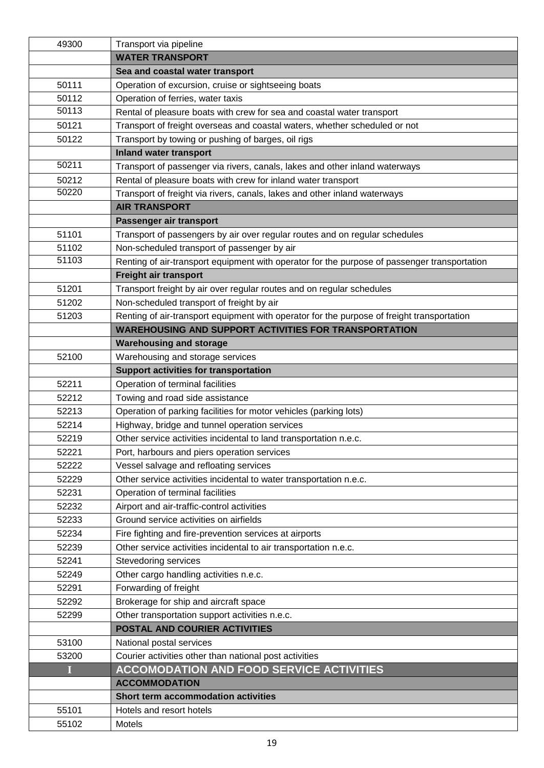| 49300      | Transport via pipeline                                                                                    |
|------------|-----------------------------------------------------------------------------------------------------------|
|            | <b>WATER TRANSPORT</b>                                                                                    |
|            | Sea and coastal water transport                                                                           |
| 50111      | Operation of excursion, cruise or sightseeing boats                                                       |
| 50112      | Operation of ferries, water taxis                                                                         |
| 50113      | Rental of pleasure boats with crew for sea and coastal water transport                                    |
| 50121      | Transport of freight overseas and coastal waters, whether scheduled or not                                |
| 50122      | Transport by towing or pushing of barges, oil rigs                                                        |
|            | <b>Inland water transport</b>                                                                             |
| 50211      | Transport of passenger via rivers, canals, lakes and other inland waterways                               |
| 50212      | Rental of pleasure boats with crew for inland water transport                                             |
| 50220      | Transport of freight via rivers, canals, lakes and other inland waterways                                 |
|            | <b>AIR TRANSPORT</b>                                                                                      |
|            | Passenger air transport                                                                                   |
| 51101      | Transport of passengers by air over regular routes and on regular schedules                               |
| 51102      | Non-scheduled transport of passenger by air                                                               |
| 51103      | Renting of air-transport equipment with operator for the purpose of passenger transportation              |
|            | Freight air transport                                                                                     |
| 51201      | Transport freight by air over regular routes and on regular schedules                                     |
| 51202      | Non-scheduled transport of freight by air                                                                 |
| 51203      | Renting of air-transport equipment with operator for the purpose of freight transportation                |
|            | <b>WAREHOUSING AND SUPPORT ACTIVITIES FOR TRANSPORTATION</b>                                              |
|            | <b>Warehousing and storage</b>                                                                            |
| 52100      | Warehousing and storage services                                                                          |
|            | <b>Support activities for transportation</b>                                                              |
| 52211      | Operation of terminal facilities                                                                          |
| 52212      | Towing and road side assistance                                                                           |
| 52213      | Operation of parking facilities for motor vehicles (parking lots)                                         |
| 52214      | Highway, bridge and tunnel operation services                                                             |
| 52219      | Other service activities incidental to land transportation n.e.c.                                         |
| 52221      | Port, harbours and piers operation services                                                               |
| 52222      | Vessel salvage and refloating services                                                                    |
| 52229      | Other service activities incidental to water transportation n.e.c.                                        |
| 52231      | Operation of terminal facilities                                                                          |
| 52232      | Airport and air-traffic-control activities                                                                |
| 52233      | Ground service activities on airfields                                                                    |
| 52234      | Fire fighting and fire-prevention services at airports                                                    |
| 52239      | Other service activities incidental to air transportation n.e.c.                                          |
| 52241      | Stevedoring services                                                                                      |
| 52249      | Other cargo handling activities n.e.c.                                                                    |
| 52291      | Forwarding of freight                                                                                     |
| 52292      | Brokerage for ship and aircraft space                                                                     |
| 52299      | Other transportation support activities n.e.c.                                                            |
|            | POSTAL AND COURIER ACTIVITIES                                                                             |
| 53100      | National postal services                                                                                  |
|            |                                                                                                           |
| 53200<br>Ι | Courier activities other than national post activities<br><b>ACCOMODATION AND FOOD SERVICE ACTIVITIES</b> |
|            | <b>ACCOMMODATION</b>                                                                                      |
|            | Short term accommodation activities                                                                       |
| 55101      |                                                                                                           |
|            | Hotels and resort hotels                                                                                  |
| 55102      | Motels                                                                                                    |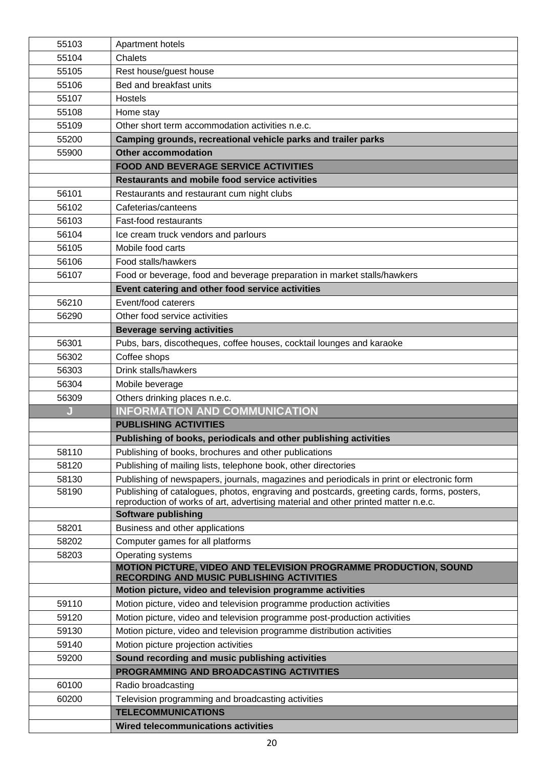| 55103 | Apartment hotels                                                                           |
|-------|--------------------------------------------------------------------------------------------|
| 55104 | Chalets                                                                                    |
| 55105 | Rest house/guest house                                                                     |
| 55106 | Bed and breakfast units                                                                    |
| 55107 | Hostels                                                                                    |
| 55108 | Home stay                                                                                  |
| 55109 | Other short term accommodation activities n.e.c.                                           |
| 55200 | Camping grounds, recreational vehicle parks and trailer parks                              |
| 55900 | <b>Other accommodation</b>                                                                 |
|       | <b>FOOD AND BEVERAGE SERVICE ACTIVITIES</b>                                                |
|       | <b>Restaurants and mobile food service activities</b>                                      |
| 56101 | Restaurants and restaurant cum night clubs                                                 |
| 56102 | Cafeterias/canteens                                                                        |
| 56103 | Fast-food restaurants                                                                      |
| 56104 | Ice cream truck vendors and parlours                                                       |
| 56105 | Mobile food carts                                                                          |
| 56106 | Food stalls/hawkers                                                                        |
| 56107 | Food or beverage, food and beverage preparation in market stalls/hawkers                   |
|       | Event catering and other food service activities                                           |
| 56210 | Event/food caterers                                                                        |
| 56290 | Other food service activities                                                              |
|       | <b>Beverage serving activities</b>                                                         |
| 56301 | Pubs, bars, discotheques, coffee houses, cocktail lounges and karaoke                      |
| 56302 | Coffee shops                                                                               |
| 56303 | Drink stalls/hawkers                                                                       |
| 56304 | Mobile beverage                                                                            |
| 56309 | Others drinking places n.e.c.                                                              |
| J     | <b>INFORMATION AND COMMUNICATION</b>                                                       |
|       | <b>PUBLISHING ACTIVITIES</b>                                                               |
|       | Publishing of books, periodicals and other publishing activities                           |
| 58110 | Publishing of books, brochures and other publications                                      |
| 58120 | Publishing of mailing lists, telephone book, other directories                             |
| 58130 | Publishing of newspapers, journals, magazines and periodicals in print or electronic form  |
| 58190 | Publishing of catalogues, photos, engraving and postcards, greeting cards, forms, posters, |
|       | reproduction of works of art, advertising material and other printed matter n.e.c.         |
| 58201 | <b>Software publishing</b><br>Business and other applications                              |
| 58202 | Computer games for all platforms                                                           |
| 58203 | Operating systems                                                                          |
|       | MOTION PICTURE, VIDEO AND TELEVISION PROGRAMME PRODUCTION, SOUND                           |
|       | <b>RECORDING AND MUSIC PUBLISHING ACTIVITIES</b>                                           |
|       | Motion picture, video and television programme activities                                  |
| 59110 | Motion picture, video and television programme production activities                       |
| 59120 | Motion picture, video and television programme post-production activities                  |
| 59130 | Motion picture, video and television programme distribution activities                     |
| 59140 | Motion picture projection activities                                                       |
| 59200 | Sound recording and music publishing activities                                            |
|       | PROGRAMMING AND BROADCASTING ACTIVITIES                                                    |
| 60100 | Radio broadcasting                                                                         |
| 60200 | Television programming and broadcasting activities                                         |
|       | <b>TELECOMMUNICATIONS</b>                                                                  |
|       | <b>Wired telecommunications activities</b>                                                 |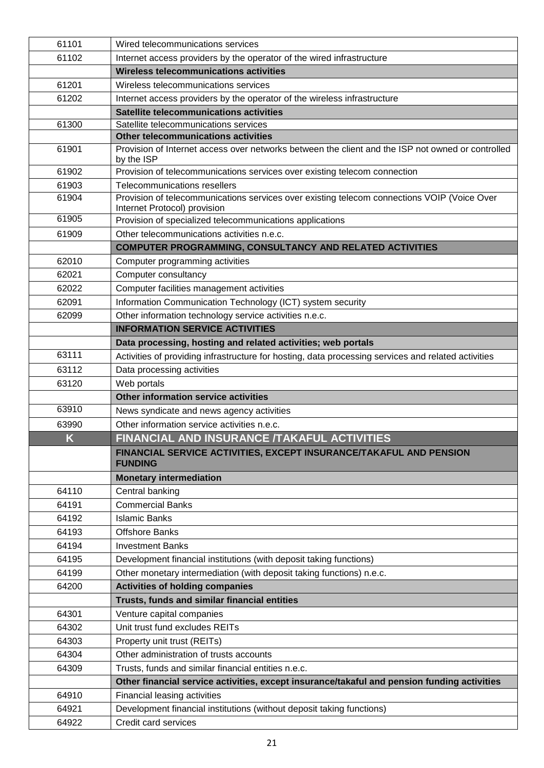| 61101 | Wired telecommunications services                                                                                           |
|-------|-----------------------------------------------------------------------------------------------------------------------------|
| 61102 | Internet access providers by the operator of the wired infrastructure                                                       |
|       | Wireless telecommunications activities                                                                                      |
| 61201 | Wireless telecommunications services                                                                                        |
| 61202 | Internet access providers by the operator of the wireless infrastructure                                                    |
|       | Satellite telecommunications activities                                                                                     |
| 61300 | Satellite telecommunications services                                                                                       |
|       | Other telecommunications activities                                                                                         |
| 61901 | Provision of Internet access over networks between the client and the ISP not owned or controlled<br>by the ISP             |
| 61902 | Provision of telecommunications services over existing telecom connection                                                   |
| 61903 | Telecommunications resellers                                                                                                |
| 61904 | Provision of telecommunications services over existing telecom connections VOIP (Voice Over<br>Internet Protocol) provision |
| 61905 | Provision of specialized telecommunications applications                                                                    |
| 61909 | Other telecommunications activities n.e.c.                                                                                  |
|       | <b>COMPUTER PROGRAMMING, CONSULTANCY AND RELATED ACTIVITIES</b>                                                             |
| 62010 | Computer programming activities                                                                                             |
| 62021 | Computer consultancy                                                                                                        |
| 62022 | Computer facilities management activities                                                                                   |
| 62091 | Information Communication Technology (ICT) system security                                                                  |
| 62099 | Other information technology service activities n.e.c.                                                                      |
|       | <b>INFORMATION SERVICE ACTIVITIES</b>                                                                                       |
|       | Data processing, hosting and related activities; web portals                                                                |
| 63111 | Activities of providing infrastructure for hosting, data processing services and related activities                         |
| 63112 | Data processing activities                                                                                                  |
| 63120 | Web portals                                                                                                                 |
|       | Other information service activities                                                                                        |
| 63910 | News syndicate and news agency activities                                                                                   |
| 63990 | Other information service activities n.e.c.                                                                                 |
| K     | FINANCIAL AND INSURANCE /TAKAFUL ACTIVITIES                                                                                 |
|       | FINANCIAL SERVICE ACTIVITIES, EXCEPT INSURANCE/TAKAFUL AND PENSION<br><b>FUNDING</b>                                        |
|       | <b>Monetary intermediation</b>                                                                                              |
| 64110 | Central banking                                                                                                             |
| 64191 | <b>Commercial Banks</b>                                                                                                     |
| 64192 | <b>Islamic Banks</b>                                                                                                        |
| 64193 | <b>Offshore Banks</b>                                                                                                       |
| 64194 | <b>Investment Banks</b>                                                                                                     |
| 64195 | Development financial institutions (with deposit taking functions)                                                          |
| 64199 | Other monetary intermediation (with deposit taking functions) n.e.c.                                                        |
| 64200 | <b>Activities of holding companies</b>                                                                                      |
|       | Trusts, funds and similar financial entities                                                                                |
|       |                                                                                                                             |
| 64301 | Venture capital companies<br>Unit trust fund excludes REITs                                                                 |
| 64302 |                                                                                                                             |
| 64303 | Property unit trust (REITs)                                                                                                 |
| 64304 | Other administration of trusts accounts                                                                                     |
| 64309 | Trusts, funds and similar financial entities n.e.c.                                                                         |
|       | Other financial service activities, except insurance/takaful and pension funding activities                                 |
| 64910 | Financial leasing activities                                                                                                |
| 64921 | Development financial institutions (without deposit taking functions)                                                       |
| 64922 | Credit card services                                                                                                        |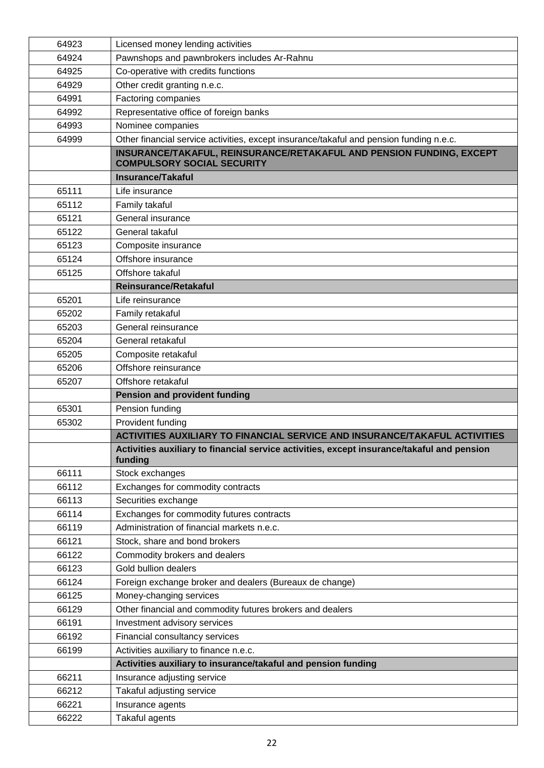| 64923          | Licensed money lending activities                                                          |
|----------------|--------------------------------------------------------------------------------------------|
| 64924          | Pawnshops and pawnbrokers includes Ar-Rahnu                                                |
| 64925          | Co-operative with credits functions                                                        |
| 64929          | Other credit granting n.e.c.                                                               |
| 64991          | Factoring companies                                                                        |
| 64992          | Representative office of foreign banks                                                     |
| 64993          | Nominee companies                                                                          |
| 64999          | Other financial service activities, except insurance/takaful and pension funding n.e.c.    |
|                | INSURANCE/TAKAFUL, REINSURANCE/RETAKAFUL AND PENSION FUNDING, EXCEPT                       |
|                | <b>COMPULSORY SOCIAL SECURITY</b>                                                          |
|                | <b>Insurance/Takaful</b>                                                                   |
| 65111          | Life insurance                                                                             |
| 65112          | Family takaful                                                                             |
| 65121          | General insurance                                                                          |
| 65122          | General takaful                                                                            |
| 65123          | Composite insurance                                                                        |
| 65124          | Offshore insurance                                                                         |
| 65125          | Offshore takaful                                                                           |
|                | Reinsurance/Retakaful                                                                      |
| 65201          | Life reinsurance                                                                           |
| 65202          | Family retakaful                                                                           |
| 65203          | General reinsurance                                                                        |
| 65204          | General retakaful                                                                          |
| 65205          | Composite retakaful                                                                        |
| 65206          | Offshore reinsurance                                                                       |
| 65207          | Offshore retakaful                                                                         |
|                | <b>Pension and provident funding</b>                                                       |
| 65301          | Pension funding                                                                            |
| 65302          | Provident funding                                                                          |
|                | ACTIVITIES AUXILIARY TO FINANCIAL SERVICE AND INSURANCE/TAKAFUL ACTIVITIES                 |
|                | Activities auxiliary to financial service activities, except insurance/takaful and pension |
|                | funding                                                                                    |
| 66111          | Stock exchanges                                                                            |
| 66112          | Exchanges for commodity contracts                                                          |
| 66113          | Securities exchange                                                                        |
| 66114          | Exchanges for commodity futures contracts                                                  |
| 66119          | Administration of financial markets n.e.c.                                                 |
| 66121          | Stock, share and bond brokers                                                              |
| 66122          | Commodity brokers and dealers                                                              |
| 66123          | Gold bullion dealers                                                                       |
| 66124          | Foreign exchange broker and dealers (Bureaux de change)                                    |
| 66125          | Money-changing services                                                                    |
| 66129          | Other financial and commodity futures brokers and dealers                                  |
| 66191          | Investment advisory services                                                               |
|                |                                                                                            |
|                |                                                                                            |
| 66192          | Financial consultancy services                                                             |
| 66199          | Activities auxiliary to finance n.e.c.                                                     |
|                | Activities auxiliary to insurance/takaful and pension funding                              |
| 66211          | Insurance adjusting service                                                                |
| 66212<br>66221 | Takaful adjusting service<br>Insurance agents                                              |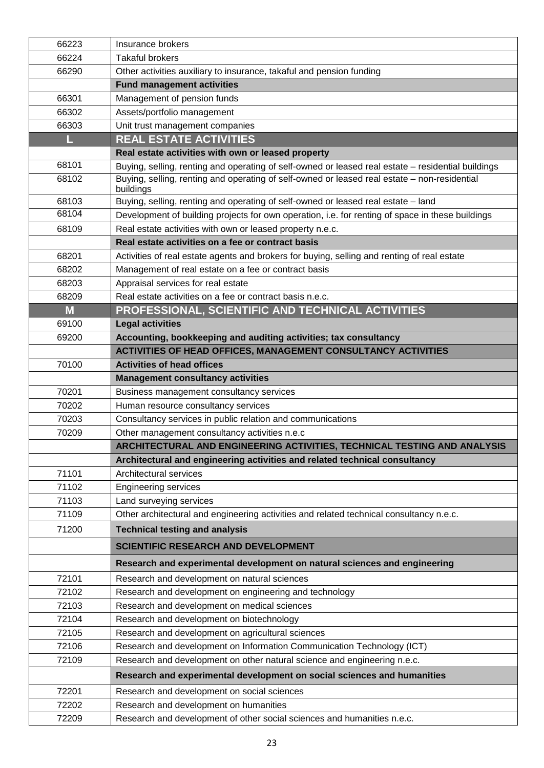| 66223 | Insurance brokers                                                                                         |
|-------|-----------------------------------------------------------------------------------------------------------|
| 66224 | <b>Takaful brokers</b>                                                                                    |
| 66290 | Other activities auxiliary to insurance, takaful and pension funding                                      |
|       | <b>Fund management activities</b>                                                                         |
| 66301 | Management of pension funds                                                                               |
| 66302 | Assets/portfolio management                                                                               |
| 66303 | Unit trust management companies                                                                           |
| L     | <b>REAL ESTATE ACTIVITIES</b>                                                                             |
|       | Real estate activities with own or leased property                                                        |
| 68101 | Buying, selling, renting and operating of self-owned or leased real estate - residential buildings        |
| 68102 | Buying, selling, renting and operating of self-owned or leased real estate - non-residential<br>buildings |
| 68103 | Buying, selling, renting and operating of self-owned or leased real estate - land                         |
| 68104 | Development of building projects for own operation, i.e. for renting of space in these buildings          |
| 68109 | Real estate activities with own or leased property n.e.c.                                                 |
|       | Real estate activities on a fee or contract basis                                                         |
| 68201 | Activities of real estate agents and brokers for buying, selling and renting of real estate               |
| 68202 | Management of real estate on a fee or contract basis                                                      |
| 68203 | Appraisal services for real estate                                                                        |
| 68209 | Real estate activities on a fee or contract basis n.e.c.                                                  |
| M     | PROFESSIONAL, SCIENTIFIC AND TECHNICAL ACTIVITIES                                                         |
| 69100 | <b>Legal activities</b>                                                                                   |
| 69200 | Accounting, bookkeeping and auditing activities; tax consultancy                                          |
|       | ACTIVITIES OF HEAD OFFICES, MANAGEMENT CONSULTANCY ACTIVITIES                                             |
| 70100 | <b>Activities of head offices</b>                                                                         |
|       | <b>Management consultancy activities</b>                                                                  |
| 70201 | Business management consultancy services                                                                  |
| 70202 | Human resource consultancy services                                                                       |
| 70203 | Consultancy services in public relation and communications                                                |
| 70209 | Other management consultancy activities n.e.c                                                             |
|       | ARCHITECTURAL AND ENGINEERING ACTIVITIES, TECHNICAL TESTING AND ANALYSIS                                  |
|       | Architectural and engineering activities and related technical consultancy                                |
| 71101 | Architectural services                                                                                    |
| 71102 | <b>Engineering services</b>                                                                               |
| 71103 | Land surveying services                                                                                   |
| 71109 | Other architectural and engineering activities and related technical consultancy n.e.c.                   |
| 71200 | <b>Technical testing and analysis</b>                                                                     |
|       | <b>SCIENTIFIC RESEARCH AND DEVELOPMENT</b>                                                                |
|       | Research and experimental development on natural sciences and engineering                                 |
| 72101 | Research and development on natural sciences                                                              |
| 72102 | Research and development on engineering and technology                                                    |
| 72103 | Research and development on medical sciences                                                              |
| 72104 | Research and development on biotechnology                                                                 |
| 72105 | Research and development on agricultural sciences                                                         |
| 72106 | Research and development on Information Communication Technology (ICT)                                    |
| 72109 | Research and development on other natural science and engineering n.e.c.                                  |
|       | Research and experimental development on social sciences and humanities                                   |
| 72201 | Research and development on social sciences                                                               |
| 72202 | Research and development on humanities                                                                    |
| 72209 | Research and development of other social sciences and humanities n.e.c.                                   |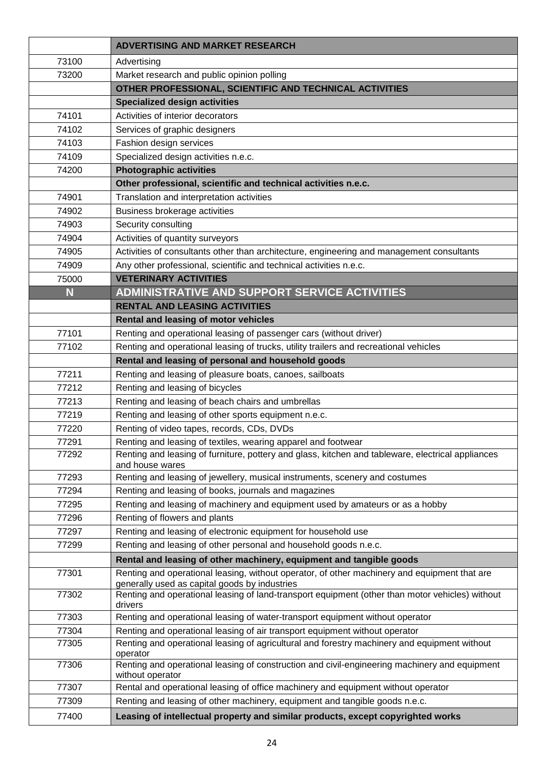|                | <b>ADVERTISING AND MARKET RESEARCH</b>                                                                                                           |
|----------------|--------------------------------------------------------------------------------------------------------------------------------------------------|
| 73100          | Advertising                                                                                                                                      |
| 73200          | Market research and public opinion polling                                                                                                       |
|                | OTHER PROFESSIONAL, SCIENTIFIC AND TECHNICAL ACTIVITIES                                                                                          |
|                | <b>Specialized design activities</b>                                                                                                             |
| 74101          | Activities of interior decorators                                                                                                                |
| 74102          | Services of graphic designers                                                                                                                    |
| 74103          | Fashion design services                                                                                                                          |
| 74109          | Specialized design activities n.e.c.                                                                                                             |
| 74200          | <b>Photographic activities</b>                                                                                                                   |
|                | Other professional, scientific and technical activities n.e.c.                                                                                   |
| 74901          | Translation and interpretation activities                                                                                                        |
| 74902          | Business brokerage activities                                                                                                                    |
| 74903          | Security consulting                                                                                                                              |
| 74904          | Activities of quantity surveyors                                                                                                                 |
| 74905          | Activities of consultants other than architecture, engineering and management consultants                                                        |
| 74909          | Any other professional, scientific and technical activities n.e.c.                                                                               |
| 75000          | <b>VETERINARY ACTIVITIES</b>                                                                                                                     |
| N              | <b>ADMINISTRATIVE AND SUPPORT SERVICE ACTIVITIES</b>                                                                                             |
|                | <b>RENTAL AND LEASING ACTIVITIES</b>                                                                                                             |
|                | Rental and leasing of motor vehicles                                                                                                             |
| 77101          | Renting and operational leasing of passenger cars (without driver)                                                                               |
| 77102          | Renting and operational leasing of trucks, utility trailers and recreational vehicles                                                            |
|                | Rental and leasing of personal and household goods                                                                                               |
| 77211          | Renting and leasing of pleasure boats, canoes, sailboats                                                                                         |
| 77212          | Renting and leasing of bicycles                                                                                                                  |
| 77213<br>77219 | Renting and leasing of beach chairs and umbrellas<br>Renting and leasing of other sports equipment n.e.c.                                        |
| 77220          | Renting of video tapes, records, CDs, DVDs                                                                                                       |
| 77291          | Renting and leasing of textiles, wearing apparel and footwear                                                                                    |
| 77292          | Renting and leasing of furniture, pottery and glass, kitchen and tableware, electrical appliances                                                |
|                | and house wares                                                                                                                                  |
| 77293          | Renting and leasing of jewellery, musical instruments, scenery and costumes                                                                      |
| 77294          | Renting and leasing of books, journals and magazines                                                                                             |
| 77295          | Renting and leasing of machinery and equipment used by amateurs or as a hobby                                                                    |
| 77296          | Renting of flowers and plants                                                                                                                    |
| 77297          | Renting and leasing of electronic equipment for household use                                                                                    |
| 77299          | Renting and leasing of other personal and household goods n.e.c.                                                                                 |
|                | Rental and leasing of other machinery, equipment and tangible goods                                                                              |
| 77301          | Renting and operational leasing, without operator, of other machinery and equipment that are                                                     |
| 77302          | generally used as capital goods by industries<br>Renting and operational leasing of land-transport equipment (other than motor vehicles) without |
|                | drivers                                                                                                                                          |
| 77303          | Renting and operational leasing of water-transport equipment without operator                                                                    |
| 77304          | Renting and operational leasing of air transport equipment without operator                                                                      |
| 77305          | Renting and operational leasing of agricultural and forestry machinery and equipment without                                                     |
| 77306          | operator<br>Renting and operational leasing of construction and civil-engineering machinery and equipment                                        |
|                | without operator                                                                                                                                 |
| 77307          | Rental and operational leasing of office machinery and equipment without operator                                                                |
| 77309          | Renting and leasing of other machinery, equipment and tangible goods n.e.c.                                                                      |
| 77400          | Leasing of intellectual property and similar products, except copyrighted works                                                                  |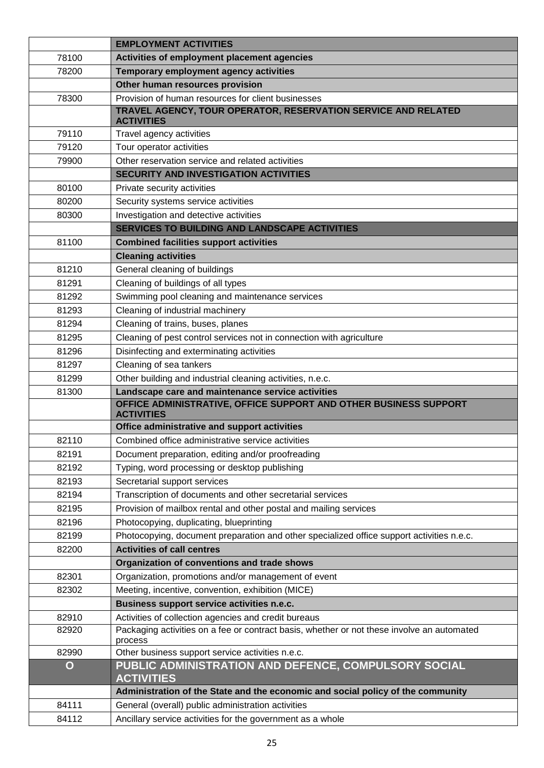|             | <b>EMPLOYMENT ACTIVITIES</b>                                                                          |
|-------------|-------------------------------------------------------------------------------------------------------|
| 78100       | Activities of employment placement agencies                                                           |
| 78200       | Temporary employment agency activities                                                                |
|             | Other human resources provision                                                                       |
| 78300       | Provision of human resources for client businesses                                                    |
|             | TRAVEL AGENCY, TOUR OPERATOR, RESERVATION SERVICE AND RELATED<br><b>ACTIVITIES</b>                    |
| 79110       | Travel agency activities                                                                              |
| 79120       | Tour operator activities                                                                              |
| 79900       | Other reservation service and related activities                                                      |
|             | <b>SECURITY AND INVESTIGATION ACTIVITIES</b>                                                          |
| 80100       | Private security activities                                                                           |
| 80200       | Security systems service activities                                                                   |
| 80300       | Investigation and detective activities                                                                |
|             | SERVICES TO BUILDING AND LANDSCAPE ACTIVITIES                                                         |
| 81100       | <b>Combined facilities support activities</b>                                                         |
|             | <b>Cleaning activities</b>                                                                            |
| 81210       | General cleaning of buildings                                                                         |
| 81291       | Cleaning of buildings of all types                                                                    |
| 81292       | Swimming pool cleaning and maintenance services                                                       |
| 81293       | Cleaning of industrial machinery                                                                      |
| 81294       | Cleaning of trains, buses, planes                                                                     |
| 81295       | Cleaning of pest control services not in connection with agriculture                                  |
| 81296       | Disinfecting and exterminating activities                                                             |
| 81297       | Cleaning of sea tankers                                                                               |
| 81299       | Other building and industrial cleaning activities, n.e.c.                                             |
| 81300       | Landscape care and maintenance service activities                                                     |
|             | OFFICE ADMINISTRATIVE, OFFICE SUPPORT AND OTHER BUSINESS SUPPORT<br><b>ACTIVITIES</b>                 |
|             | Office administrative and support activities                                                          |
| 82110       | Combined office administrative service activities                                                     |
| 82191       | Document preparation, editing and/or proofreading                                                     |
| 82192       | Typing, word processing or desktop publishing                                                         |
| 82193       | Secretarial support services                                                                          |
| 82194       | Transcription of documents and other secretarial services                                             |
| 82195       | Provision of mailbox rental and other postal and mailing services                                     |
| 82196       | Photocopying, duplicating, blueprinting                                                               |
| 82199       | Photocopying, document preparation and other specialized office support activities n.e.c.             |
| 82200       | <b>Activities of call centres</b>                                                                     |
|             | Organization of conventions and trade shows                                                           |
| 82301       | Organization, promotions and/or management of event                                                   |
| 82302       | Meeting, incentive, convention, exhibition (MICE)                                                     |
|             | Business support service activities n.e.c.                                                            |
| 82910       | Activities of collection agencies and credit bureaus                                                  |
| 82920       | Packaging activities on a fee or contract basis, whether or not these involve an automated<br>process |
| 82990       | Other business support service activities n.e.c.                                                      |
| $\mathbf O$ | PUBLIC ADMINISTRATION AND DEFENCE, COMPULSORY SOCIAL<br><b>ACTIVITIES</b>                             |
|             | Administration of the State and the economic and social policy of the community                       |
| 84111       | General (overall) public administration activities                                                    |
| 84112       | Ancillary service activities for the government as a whole                                            |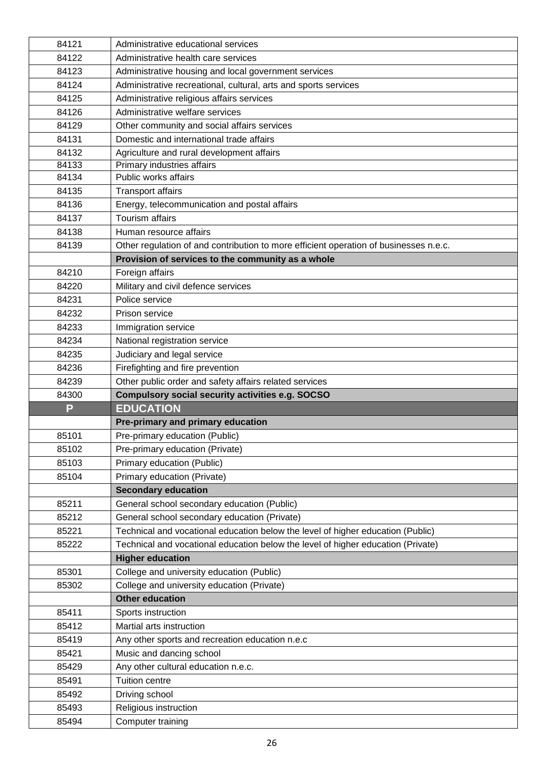|                | Administrative educational services                                                   |
|----------------|---------------------------------------------------------------------------------------|
| 84121<br>84122 | Administrative health care services                                                   |
| 84123          | Administrative housing and local government services                                  |
| 84124          | Administrative recreational, cultural, arts and sports services                       |
| 84125          | Administrative religious affairs services                                             |
| 84126          | Administrative welfare services                                                       |
| 84129          | Other community and social affairs services                                           |
| 84131          | Domestic and international trade affairs                                              |
| 84132          | Agriculture and rural development affairs                                             |
| 84133          | Primary industries affairs                                                            |
| 84134          | Public works affairs                                                                  |
| 84135          | <b>Transport affairs</b>                                                              |
| 84136          | Energy, telecommunication and postal affairs                                          |
| 84137          | <b>Tourism affairs</b>                                                                |
| 84138          | Human resource affairs                                                                |
| 84139          | Other regulation of and contribution to more efficient operation of businesses n.e.c. |
|                | Provision of services to the community as a whole                                     |
| 84210          | Foreign affairs                                                                       |
| 84220          | Military and civil defence services                                                   |
| 84231          | Police service                                                                        |
| 84232          | Prison service                                                                        |
| 84233          | Immigration service                                                                   |
| 84234          | National registration service                                                         |
| 84235          | Judiciary and legal service                                                           |
| 84236          | Firefighting and fire prevention                                                      |
| 84239          | Other public order and safety affairs related services                                |
| 84300          | <b>Compulsory social security activities e.g. SOCSO</b>                               |
| P              | <b>EDUCATION</b>                                                                      |
|                | Pre-primary and primary education                                                     |
| 85101          | Pre-primary education (Public)                                                        |
| 85102          | Pre-primary education (Private)                                                       |
|                |                                                                                       |
|                |                                                                                       |
| 85103          | Primary education (Public)                                                            |
| 85104          | Primary education (Private)                                                           |
|                | <b>Secondary education</b>                                                            |
| 85211          | General school secondary education (Public)                                           |
| 85212          | General school secondary education (Private)                                          |
| 85221          | Technical and vocational education below the level of higher education (Public)       |
| 85222          | Technical and vocational education below the level of higher education (Private)      |
|                | <b>Higher education</b>                                                               |
| 85301          | College and university education (Public)                                             |
| 85302          | College and university education (Private)                                            |
|                | <b>Other education</b>                                                                |
| 85411          | Sports instruction                                                                    |
| 85412          | Martial arts instruction                                                              |
| 85419          | Any other sports and recreation education n.e.c                                       |
| 85421          | Music and dancing school                                                              |
| 85429          | Any other cultural education n.e.c.                                                   |
| 85491          | Tuition centre                                                                        |
| 85492          | Driving school                                                                        |
| 85493<br>85494 | Religious instruction<br>Computer training                                            |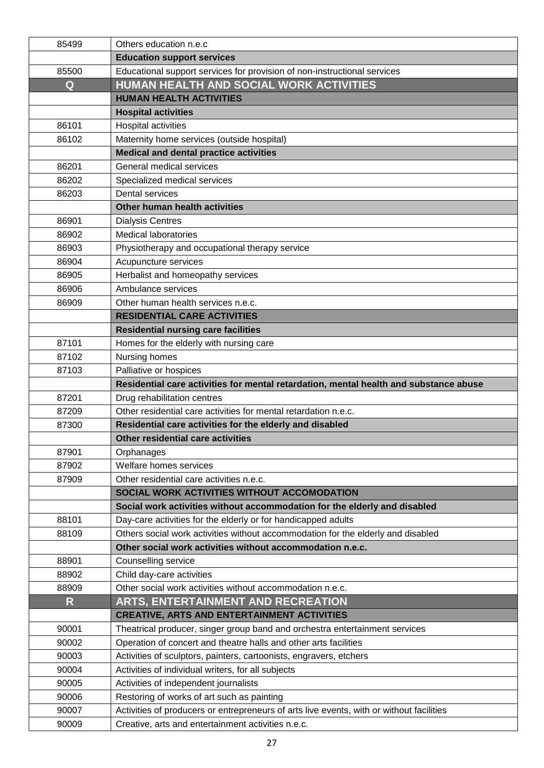| 85499                   | Others education n.e.c                                                                   |
|-------------------------|------------------------------------------------------------------------------------------|
|                         | <b>Education support services</b>                                                        |
| 85500                   | Educational support services for provision of non-instructional services                 |
| Q                       | HUMAN HEALTH AND SOCIAL WORK ACTIVITIES                                                  |
|                         | <b>HUMAN HEALTH ACTIVITIES</b>                                                           |
|                         | <b>Hospital activities</b>                                                               |
| 86101                   | <b>Hospital activities</b>                                                               |
| 86102                   | Maternity home services (outside hospital)                                               |
|                         | <b>Medical and dental practice activities</b>                                            |
| 86201                   | General medical services                                                                 |
| 86202                   | Specialized medical services                                                             |
| 86203                   | Dental services                                                                          |
|                         | Other human health activities                                                            |
| 86901                   | <b>Dialysis Centres</b>                                                                  |
| 86902                   | <b>Medical laboratories</b>                                                              |
| 86903                   | Physiotherapy and occupational therapy service                                           |
| 86904                   | Acupuncture services                                                                     |
| 86905                   | Herbalist and homeopathy services                                                        |
| 86906                   | Ambulance services                                                                       |
| 86909                   | Other human health services n.e.c.                                                       |
|                         | <b>RESIDENTIAL CARE ACTIVITIES</b>                                                       |
|                         | <b>Residential nursing care facilities</b>                                               |
| 87101                   | Homes for the elderly with nursing care                                                  |
| 87102                   | Nursing homes                                                                            |
| 87103                   | Palliative or hospices                                                                   |
|                         | Residential care activities for mental retardation, mental health and substance abuse    |
| 87201                   | Drug rehabilitation centres                                                              |
| 87209                   | Other residential care activities for mental retardation n.e.c.                          |
| 87300                   | Residential care activities for the elderly and disabled                                 |
|                         | Other residential care activities                                                        |
| 87901                   | Orphanages                                                                               |
| 87902                   | Welfare homes services                                                                   |
| 87909                   | Other residential care activities n.e.c.                                                 |
|                         | SOCIAL WORK ACTIVITIES WITHOUT ACCOMODATION                                              |
|                         | Social work activities without accommodation for the elderly and disabled                |
| 88101                   | Day-care activities for the elderly or for handicapped adults                            |
| 88109                   | Others social work activities without accommodation for the elderly and disabled         |
|                         | Other social work activities without accommodation n.e.c.                                |
| 88901                   | Counselling service                                                                      |
| 88902                   | Child day-care activities                                                                |
| 88909                   | Other social work activities without accommodation n.e.c.                                |
| $\overline{\mathsf{R}}$ | ARTS, ENTERTAINMENT AND RECREATION                                                       |
|                         | <b>CREATIVE, ARTS AND ENTERTAINMENT ACTIVITIES</b>                                       |
| 90001                   | Theatrical producer, singer group band and orchestra entertainment services              |
| 90002                   | Operation of concert and theatre halls and other arts facilities                         |
| 90003                   | Activities of sculptors, painters, cartoonists, engravers, etchers                       |
| 90004                   | Activities of individual writers, for all subjects                                       |
| 90005                   | Activities of independent journalists                                                    |
| 90006                   | Restoring of works of art such as painting                                               |
| 90007                   | Activities of producers or entrepreneurs of arts live events, with or without facilities |
| 90009                   | Creative, arts and entertainment activities n.e.c.                                       |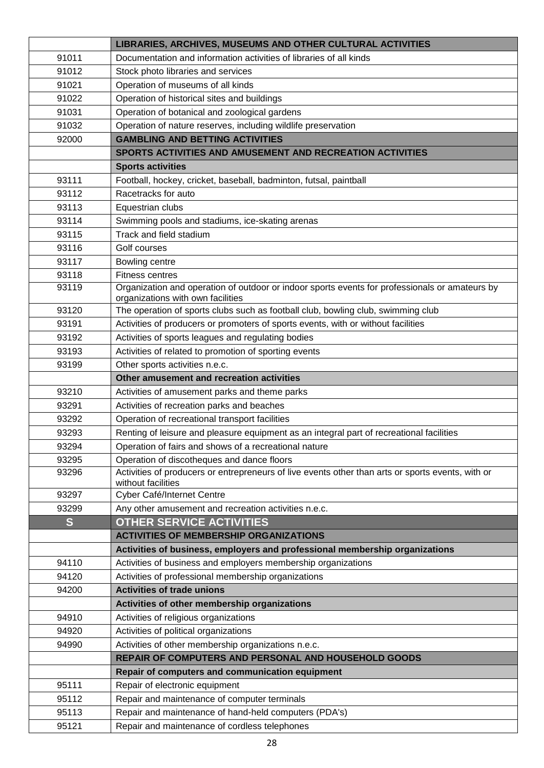|       | LIBRARIES, ARCHIVES, MUSEUMS AND OTHER CULTURAL ACTIVITIES                                                                          |
|-------|-------------------------------------------------------------------------------------------------------------------------------------|
| 91011 | Documentation and information activities of libraries of all kinds                                                                  |
| 91012 | Stock photo libraries and services                                                                                                  |
| 91021 | Operation of museums of all kinds                                                                                                   |
| 91022 | Operation of historical sites and buildings                                                                                         |
| 91031 | Operation of botanical and zoological gardens                                                                                       |
| 91032 | Operation of nature reserves, including wildlife preservation                                                                       |
| 92000 | <b>GAMBLING AND BETTING ACTIVITIES</b>                                                                                              |
|       | SPORTS ACTIVITIES AND AMUSEMENT AND RECREATION ACTIVITIES                                                                           |
|       | <b>Sports activities</b>                                                                                                            |
| 93111 | Football, hockey, cricket, baseball, badminton, futsal, paintball                                                                   |
| 93112 | Racetracks for auto                                                                                                                 |
| 93113 | Equestrian clubs                                                                                                                    |
| 93114 | Swimming pools and stadiums, ice-skating arenas                                                                                     |
| 93115 | Track and field stadium                                                                                                             |
| 93116 | Golf courses                                                                                                                        |
| 93117 | Bowling centre                                                                                                                      |
| 93118 | <b>Fitness centres</b>                                                                                                              |
| 93119 | Organization and operation of outdoor or indoor sports events for professionals or amateurs by<br>organizations with own facilities |
| 93120 | The operation of sports clubs such as football club, bowling club, swimming club                                                    |
| 93191 | Activities of producers or promoters of sports events, with or without facilities                                                   |
| 93192 | Activities of sports leagues and regulating bodies                                                                                  |
| 93193 | Activities of related to promotion of sporting events                                                                               |
| 93199 | Other sports activities n.e.c.                                                                                                      |
|       | Other amusement and recreation activities                                                                                           |
| 93210 | Activities of amusement parks and theme parks                                                                                       |
| 93291 | Activities of recreation parks and beaches                                                                                          |
| 93292 | Operation of recreational transport facilities                                                                                      |
| 93293 | Renting of leisure and pleasure equipment as an integral part of recreational facilities                                            |
| 93294 | Operation of fairs and shows of a recreational nature                                                                               |
| 93295 | Operation of discotheques and dance floors                                                                                          |
| 93296 | Activities of producers or entrepreneurs of live events other than arts or sports events, with or<br>without facilities             |
| 93297 | Cyber Café/Internet Centre                                                                                                          |
| 93299 | Any other amusement and recreation activities n.e.c.                                                                                |
| S     | <b>OTHER SERVICE ACTIVITIES</b>                                                                                                     |
|       | <b>ACTIVITIES OF MEMBERSHIP ORGANIZATIONS</b>                                                                                       |
|       | Activities of business, employers and professional membership organizations                                                         |
| 94110 | Activities of business and employers membership organizations                                                                       |
| 94120 | Activities of professional membership organizations                                                                                 |
| 94200 | <b>Activities of trade unions</b>                                                                                                   |
|       | Activities of other membership organizations                                                                                        |
| 94910 | Activities of religious organizations                                                                                               |
| 94920 | Activities of political organizations                                                                                               |
| 94990 | Activities of other membership organizations n.e.c.                                                                                 |
|       | REPAIR OF COMPUTERS AND PERSONAL AND HOUSEHOLD GOODS                                                                                |
|       | Repair of computers and communication equipment                                                                                     |
| 95111 | Repair of electronic equipment                                                                                                      |
| 95112 | Repair and maintenance of computer terminals                                                                                        |
| 95113 | Repair and maintenance of hand-held computers (PDA's)                                                                               |
| 95121 | Repair and maintenance of cordless telephones                                                                                       |